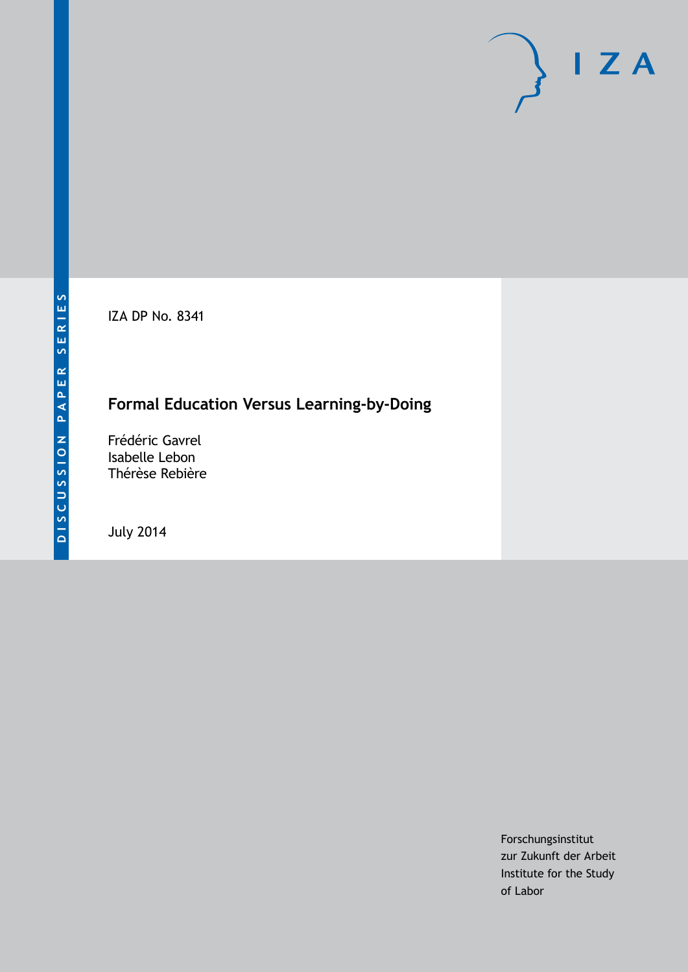IZA DP No. 8341

# **Formal Education Versus Learning-by-Doing**

Frédéric Gavrel Isabelle Lebon Thérèse Rebière

July 2014

Forschungsinstitut zur Zukunft der Arbeit Institute for the Study of Labor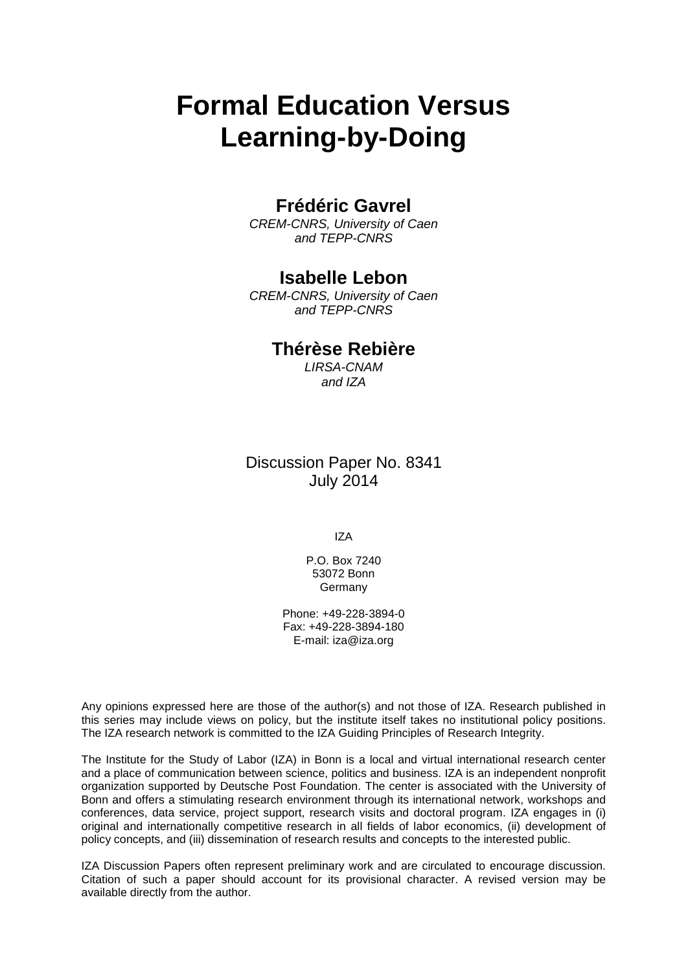# **Formal Education Versus Learning-by-Doing**

### **Frédéric Gavrel**

*CREM-CNRS, University of Caen and TEPP-CNRS*

### **Isabelle Lebon**

*CREM-CNRS, University of Caen and TEPP-CNRS*

### **Thérèse Rebière**

*LIRSA-CNAM and IZA*

Discussion Paper No. 8341 July 2014

IZA

P.O. Box 7240 53072 Bonn **Germany** 

Phone: +49-228-3894-0 Fax: +49-228-3894-180 E-mail: [iza@iza.org](mailto:iza@iza.org)

Any opinions expressed here are those of the author(s) and not those of IZA. Research published in this series may include views on policy, but the institute itself takes no institutional policy positions. The IZA research network is committed to the IZA Guiding Principles of Research Integrity.

The Institute for the Study of Labor (IZA) in Bonn is a local and virtual international research center and a place of communication between science, politics and business. IZA is an independent nonprofit organization supported by Deutsche Post Foundation. The center is associated with the University of Bonn and offers a stimulating research environment through its international network, workshops and conferences, data service, project support, research visits and doctoral program. IZA engages in (i) original and internationally competitive research in all fields of labor economics, (ii) development of policy concepts, and (iii) dissemination of research results and concepts to the interested public.

<span id="page-1-0"></span>IZA Discussion Papers often represent preliminary work and are circulated to encourage discussion. Citation of such a paper should account for its provisional character. A revised version may be available directly from the author.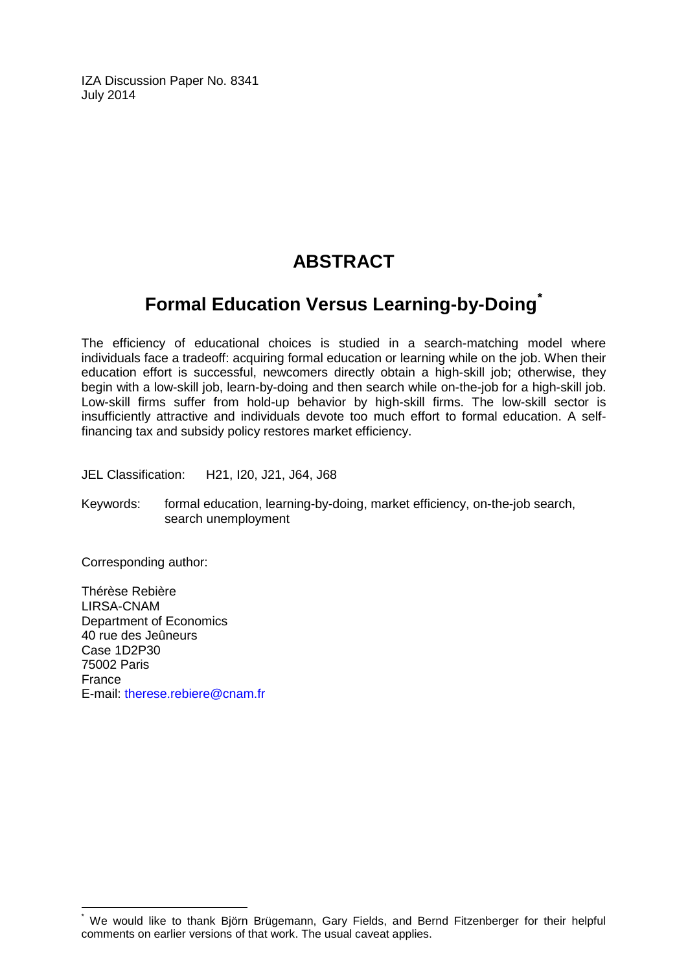IZA Discussion Paper No. 8341 July 2014

# **ABSTRACT**

# **Formal Education Versus Learning-by-Doing[\\*](#page-1-0)**

The efficiency of educational choices is studied in a search-matching model where individuals face a tradeoff: acquiring formal education or learning while on the job. When their education effort is successful, newcomers directly obtain a high-skill job; otherwise, they begin with a low-skill job, learn-by-doing and then search while on-the-job for a high-skill job. Low-skill firms suffer from hold-up behavior by high-skill firms. The low-skill sector is insufficiently attractive and individuals devote too much effort to formal education. A selffinancing tax and subsidy policy restores market efficiency.

JEL Classification: H21, I20, J21, J64, J68

Keywords: formal education, learning-by-doing, market efficiency, on-the-job search, search unemployment

Corresponding author:

Thérèse Rebière LIRSA-CNAM Department of Economics 40 rue des Jeûneurs Case 1D2P30 75002 Paris France E-mail: [therese.rebiere@cnam.fr](mailto:therese.rebiere@cnam.fr)

We would like to thank Björn Brügemann, Gary Fields, and Bernd Fitzenberger for their helpful comments on earlier versions of that work. The usual caveat applies.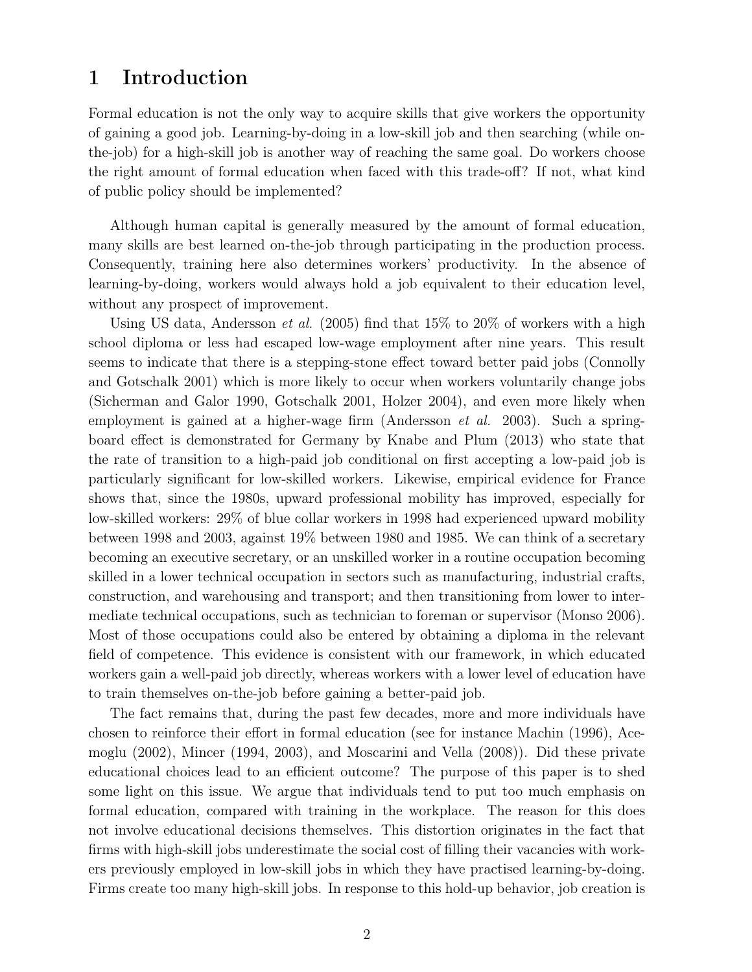# 1 Introduction

Formal education is not the only way to acquire skills that give workers the opportunity of gaining a good job. Learning-by-doing in a low-skill job and then searching (while onthe-job) for a high-skill job is another way of reaching the same goal. Do workers choose the right amount of formal education when faced with this trade-off? If not, what kind of public policy should be implemented?

Although human capital is generally measured by the amount of formal education, many skills are best learned on-the-job through participating in the production process. Consequently, training here also determines workers' productivity. In the absence of learning-by-doing, workers would always hold a job equivalent to their education level, without any prospect of improvement.

Using US data, Andersson *et al.* (2005) find that  $15\%$  to  $20\%$  of workers with a high school diploma or less had escaped low-wage employment after nine years. This result seems to indicate that there is a stepping-stone effect toward better paid jobs (Connolly and Gotschalk 2001) which is more likely to occur when workers voluntarily change jobs (Sicherman and Galor 1990, Gotschalk 2001, Holzer 2004), and even more likely when employment is gained at a higher-wage firm (Andersson et al. 2003). Such a springboard effect is demonstrated for Germany by Knabe and Plum (2013) who state that the rate of transition to a high-paid job conditional on first accepting a low-paid job is particularly significant for low-skilled workers. Likewise, empirical evidence for France shows that, since the 1980s, upward professional mobility has improved, especially for low-skilled workers: 29% of blue collar workers in 1998 had experienced upward mobility between 1998 and 2003, against 19% between 1980 and 1985. We can think of a secretary becoming an executive secretary, or an unskilled worker in a routine occupation becoming skilled in a lower technical occupation in sectors such as manufacturing, industrial crafts, construction, and warehousing and transport; and then transitioning from lower to intermediate technical occupations, such as technician to foreman or supervisor (Monso 2006). Most of those occupations could also be entered by obtaining a diploma in the relevant field of competence. This evidence is consistent with our framework, in which educated workers gain a well-paid job directly, whereas workers with a lower level of education have to train themselves on-the-job before gaining a better-paid job.

The fact remains that, during the past few decades, more and more individuals have chosen to reinforce their effort in formal education (see for instance Machin (1996), Acemoglu (2002), Mincer (1994, 2003), and Moscarini and Vella (2008)). Did these private educational choices lead to an efficient outcome? The purpose of this paper is to shed some light on this issue. We argue that individuals tend to put too much emphasis on formal education, compared with training in the workplace. The reason for this does not involve educational decisions themselves. This distortion originates in the fact that firms with high-skill jobs underestimate the social cost of filling their vacancies with workers previously employed in low-skill jobs in which they have practised learning-by-doing. Firms create too many high-skill jobs. In response to this hold-up behavior, job creation is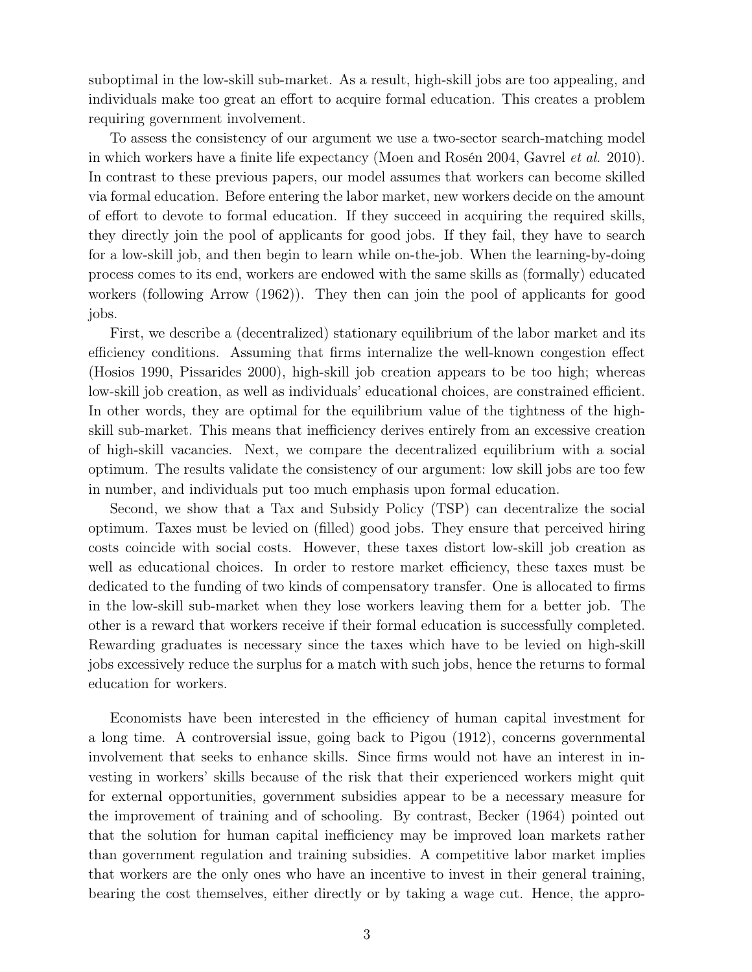suboptimal in the low-skill sub-market. As a result, high-skill jobs are too appealing, and individuals make too great an effort to acquire formal education. This creates a problem requiring government involvement.

To assess the consistency of our argument we use a two-sector search-matching model in which workers have a finite life expectancy (Moen and Rosén 2004, Gavrel et al. 2010). In contrast to these previous papers, our model assumes that workers can become skilled via formal education. Before entering the labor market, new workers decide on the amount of effort to devote to formal education. If they succeed in acquiring the required skills, they directly join the pool of applicants for good jobs. If they fail, they have to search for a low-skill job, and then begin to learn while on-the-job. When the learning-by-doing process comes to its end, workers are endowed with the same skills as (formally) educated workers (following Arrow (1962)). They then can join the pool of applicants for good jobs.

First, we describe a (decentralized) stationary equilibrium of the labor market and its efficiency conditions. Assuming that firms internalize the well-known congestion effect (Hosios 1990, Pissarides 2000), high-skill job creation appears to be too high; whereas low-skill job creation, as well as individuals' educational choices, are constrained efficient. In other words, they are optimal for the equilibrium value of the tightness of the highskill sub-market. This means that inefficiency derives entirely from an excessive creation of high-skill vacancies. Next, we compare the decentralized equilibrium with a social optimum. The results validate the consistency of our argument: low skill jobs are too few in number, and individuals put too much emphasis upon formal education.

Second, we show that a Tax and Subsidy Policy (TSP) can decentralize the social optimum. Taxes must be levied on (filled) good jobs. They ensure that perceived hiring costs coincide with social costs. However, these taxes distort low-skill job creation as well as educational choices. In order to restore market efficiency, these taxes must be dedicated to the funding of two kinds of compensatory transfer. One is allocated to firms in the low-skill sub-market when they lose workers leaving them for a better job. The other is a reward that workers receive if their formal education is successfully completed. Rewarding graduates is necessary since the taxes which have to be levied on high-skill jobs excessively reduce the surplus for a match with such jobs, hence the returns to formal education for workers.

Economists have been interested in the efficiency of human capital investment for a long time. A controversial issue, going back to Pigou (1912), concerns governmental involvement that seeks to enhance skills. Since firms would not have an interest in investing in workers' skills because of the risk that their experienced workers might quit for external opportunities, government subsidies appear to be a necessary measure for the improvement of training and of schooling. By contrast, Becker (1964) pointed out that the solution for human capital inefficiency may be improved loan markets rather than government regulation and training subsidies. A competitive labor market implies that workers are the only ones who have an incentive to invest in their general training, bearing the cost themselves, either directly or by taking a wage cut. Hence, the appro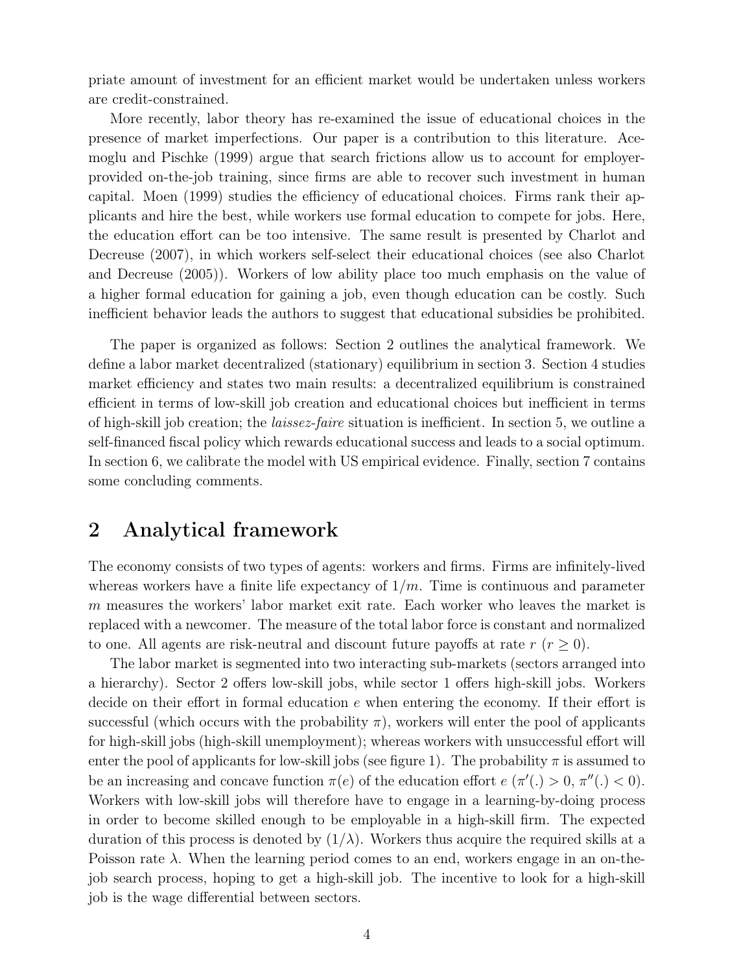priate amount of investment for an efficient market would be undertaken unless workers are credit-constrained.

More recently, labor theory has re-examined the issue of educational choices in the presence of market imperfections. Our paper is a contribution to this literature. Acemoglu and Pischke (1999) argue that search frictions allow us to account for employerprovided on-the-job training, since firms are able to recover such investment in human capital. Moen (1999) studies the efficiency of educational choices. Firms rank their applicants and hire the best, while workers use formal education to compete for jobs. Here, the education effort can be too intensive. The same result is presented by Charlot and Decreuse (2007), in which workers self-select their educational choices (see also Charlot and Decreuse (2005)). Workers of low ability place too much emphasis on the value of a higher formal education for gaining a job, even though education can be costly. Such inefficient behavior leads the authors to suggest that educational subsidies be prohibited.

The paper is organized as follows: Section 2 outlines the analytical framework. We define a labor market decentralized (stationary) equilibrium in section 3. Section 4 studies market efficiency and states two main results: a decentralized equilibrium is constrained efficient in terms of low-skill job creation and educational choices but inefficient in terms of high-skill job creation; the laissez-faire situation is inefficient. In section 5, we outline a self-financed fiscal policy which rewards educational success and leads to a social optimum. In section 6, we calibrate the model with US empirical evidence. Finally, section 7 contains some concluding comments.

### 2 Analytical framework

The economy consists of two types of agents: workers and firms. Firms are infinitely-lived whereas workers have a finite life expectancy of  $1/m$ . Time is continuous and parameter m measures the workers' labor market exit rate. Each worker who leaves the market is replaced with a newcomer. The measure of the total labor force is constant and normalized to one. All agents are risk-neutral and discount future payoffs at rate  $r (r \geq 0)$ .

The labor market is segmented into two interacting sub-markets (sectors arranged into a hierarchy). Sector 2 offers low-skill jobs, while sector 1 offers high-skill jobs. Workers decide on their effort in formal education e when entering the economy. If their effort is successful (which occurs with the probability  $\pi$ ), workers will enter the pool of applicants for high-skill jobs (high-skill unemployment); whereas workers with unsuccessful effort will enter the pool of applicants for low-skill jobs (see figure 1). The probability  $\pi$  is assumed to be an increasing and concave function  $\pi(e)$  of the education effort  $e(\pi'(.) > 0, \pi''(.) < 0)$ . Workers with low-skill jobs will therefore have to engage in a learning-by-doing process in order to become skilled enough to be employable in a high-skill firm. The expected duration of this process is denoted by  $(1/\lambda)$ . Workers thus acquire the required skills at a Poisson rate  $\lambda$ . When the learning period comes to an end, workers engage in an on-thejob search process, hoping to get a high-skill job. The incentive to look for a high-skill job is the wage differential between sectors.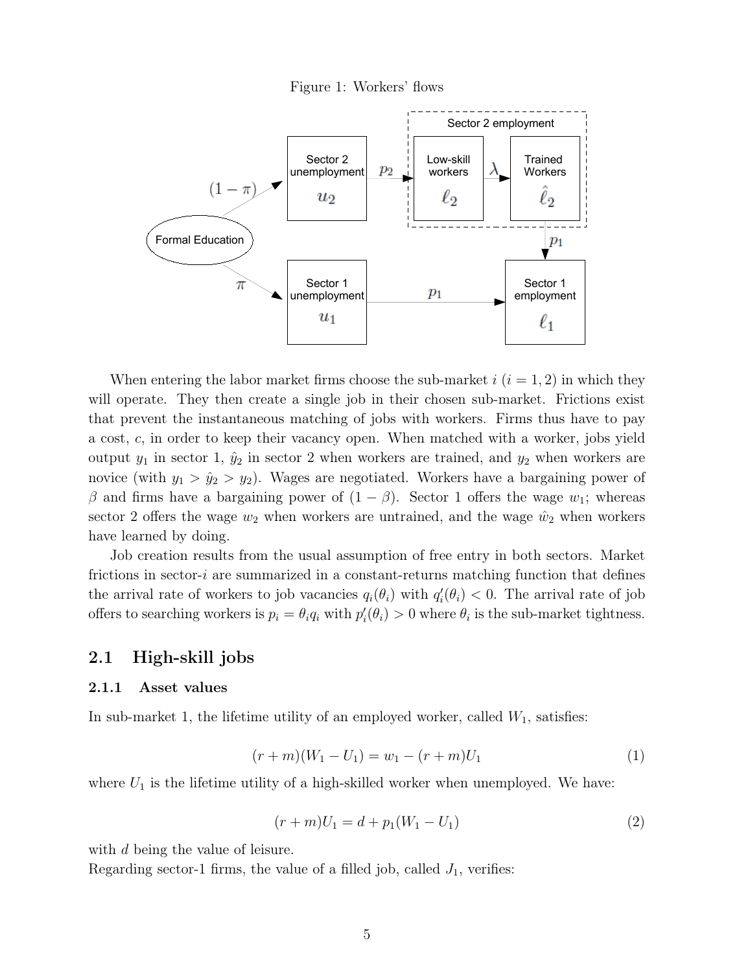



When entering the labor market firms choose the sub-market  $i$   $(i = 1, 2)$  in which they will operate. They then create a single job in their chosen sub-market. Frictions exist that prevent the instantaneous matching of jobs with workers. Firms thus have to pay a cost, c, in order to keep their vacancy open. When matched with a worker, jobs yield output  $y_1$  in sector 1,  $\hat{y}_2$  in sector 2 when workers are trained, and  $y_2$  when workers are novice (with  $y_1 > \hat{y}_2 > y_2$ ). Wages are negotiated. Workers have a bargaining power of β and firms have a bargaining power of  $(1 - β)$ . Sector 1 offers the wage  $w_1$ ; whereas sector 2 offers the wage  $w_2$  when workers are untrained, and the wage  $\hat{w}_2$  when workers have learned by doing.

Job creation results from the usual assumption of free entry in both sectors. Market frictions in sector-i are summarized in a constant-returns matching function that defines the arrival rate of workers to job vacancies  $q_i(\theta_i)$  with  $q'_i(\theta_i) < 0$ . The arrival rate of job offers to searching workers is  $p_i = \theta_i q_i$  with  $p'_i(\theta_i) > 0$  where  $\theta_i$  is the sub-market tightness.

#### 2.1 High-skill jobs

#### 2.1.1 Asset values

In sub-market 1, the lifetime utility of an employed worker, called  $W_1$ , satisfies:

$$
(r+m)(W_1 - U_1) = w_1 - (r+m)U_1 \tag{1}
$$

where  $U_1$  is the lifetime utility of a high-skilled worker when unemployed. We have:

$$
(r+m)U_1 = d + p_1(W_1 - U_1)
$$
\n(2)

with d being the value of leisure.

Regarding sector-1 firms, the value of a filled job, called  $J_1$ , verifies: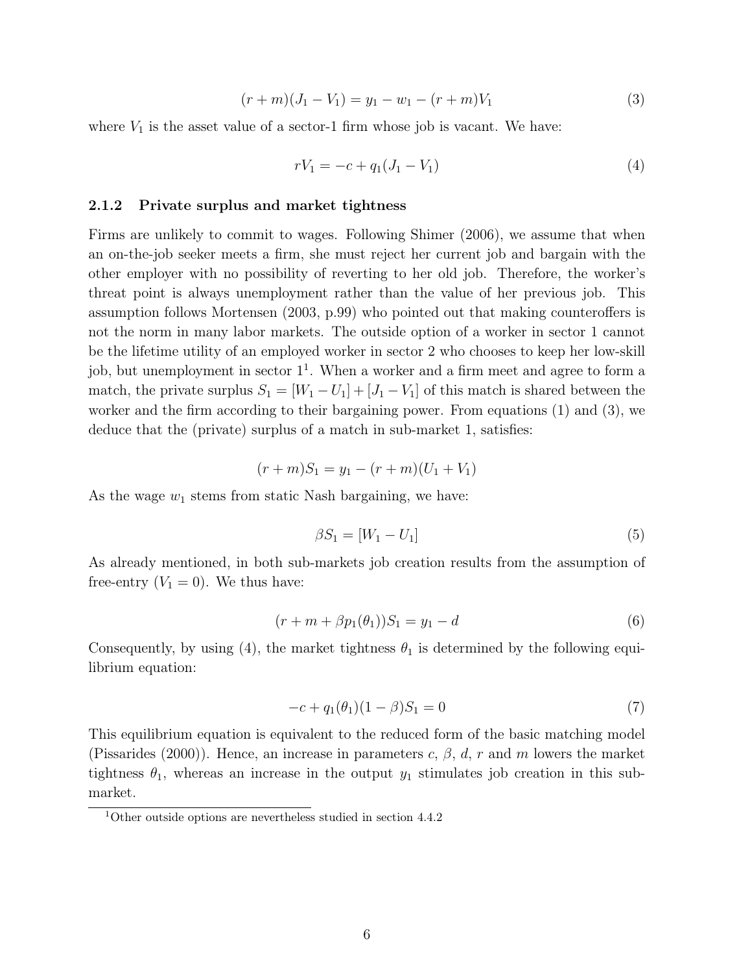$$
(r+m)(J_1 - V_1) = y_1 - w_1 - (r+m)V_1 \tag{3}
$$

where  $V_1$  is the asset value of a sector-1 firm whose job is vacant. We have:

$$
rV_1 = -c + q_1(J_1 - V_1) \tag{4}
$$

#### 2.1.2 Private surplus and market tightness

Firms are unlikely to commit to wages. Following Shimer (2006), we assume that when an on-the-job seeker meets a firm, she must reject her current job and bargain with the other employer with no possibility of reverting to her old job. Therefore, the worker's threat point is always unemployment rather than the value of her previous job. This assumption follows Mortensen (2003, p.99) who pointed out that making counteroffers is not the norm in many labor markets. The outside option of a worker in sector 1 cannot be the lifetime utility of an employed worker in sector 2 who chooses to keep her low-skill job, but unemployment in sector  $1<sup>1</sup>$ . When a worker and a firm meet and agree to form a match, the private surplus  $S_1 = [W_1 - U_1] + [J_1 - V_1]$  of this match is shared between the worker and the firm according to their bargaining power. From equations (1) and (3), we deduce that the (private) surplus of a match in sub-market 1, satisfies:

$$
(r+m)S_1 = y_1 - (r+m)(U_1 + V_1)
$$

As the wage  $w_1$  stems from static Nash bargaining, we have:

$$
\beta S_1 = [W_1 - U_1] \tag{5}
$$

As already mentioned, in both sub-markets job creation results from the assumption of free-entry  $(V_1 = 0)$ . We thus have:

$$
(r + m + \beta p_1(\theta_1))S_1 = y_1 - d \tag{6}
$$

Consequently, by using (4), the market tightness  $\theta_1$  is determined by the following equilibrium equation:

$$
-c + q_1(\theta_1)(1 - \beta)S_1 = 0 \tag{7}
$$

This equilibrium equation is equivalent to the reduced form of the basic matching model (Pissarides (2000)). Hence, an increase in parameters c,  $\beta$ , d, r and m lowers the market tightness  $\theta_1$ , whereas an increase in the output  $y_1$  stimulates job creation in this submarket.

<sup>1</sup>Other outside options are nevertheless studied in section 4.4.2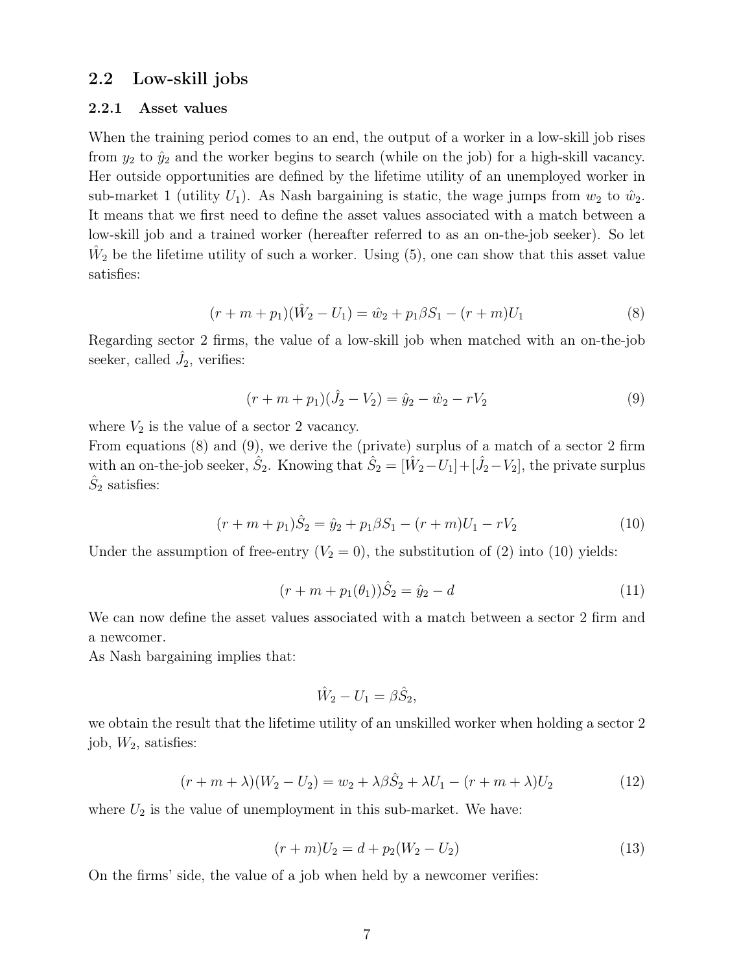#### 2.2 Low-skill jobs

#### 2.2.1 Asset values

When the training period comes to an end, the output of a worker in a low-skill job rises from  $y_2$  to  $\hat{y}_2$  and the worker begins to search (while on the job) for a high-skill vacancy. Her outside opportunities are defined by the lifetime utility of an unemployed worker in sub-market 1 (utility  $U_1$ ). As Nash bargaining is static, the wage jumps from  $w_2$  to  $\hat{w}_2$ . It means that we first need to define the asset values associated with a match between a low-skill job and a trained worker (hereafter referred to as an on-the-job seeker). So let  $\hat{W}_2$  be the lifetime utility of such a worker. Using (5), one can show that this asset value satisfies:

$$
(r + m + p1)(\hat{W}2 - U1) = \hat{w}2 + p1\beta S1 - (r + m)U1
$$
\n(8)

Regarding sector 2 firms, the value of a low-skill job when matched with an on-the-job seeker, called  $\hat{J}_2$ , verifies:

$$
(r + m + p1)(\hat{J}_2 - V_2) = \hat{y}_2 - \hat{w}_2 - rV_2
$$
\n(9)

where  $V_2$  is the value of a sector 2 vacancy.

From equations (8) and (9), we derive the (private) surplus of a match of a sector 2 firm with an on-the-job seeker,  $\hat{S}_2$ . Knowing that  $\hat{S}_2 = [\hat{W}_2 - U_1] + [\hat{J}_2 - V_2]$ , the private surplus  $\hat{S}_2$  satisfies:

$$
(r + m + p1)\hat{S}_2 = \hat{y}_2 + p_1\beta S_1 - (r + m)U_1 - rV_2
$$
\n(10)

Under the assumption of free-entry  $(V_2 = 0)$ , the substitution of (2) into (10) yields:

$$
(r + m + p1(\theta1))\hat{S}2 = \hat{y}2 - d
$$
\n(11)

We can now define the asset values associated with a match between a sector 2 firm and a newcomer.

As Nash bargaining implies that:

$$
\hat{W}_2 - U_1 = \beta \hat{S}_2,
$$

we obtain the result that the lifetime utility of an unskilled worker when holding a sector 2 job,  $W_2$ , satisfies:

$$
(r + m + \lambda)(W_2 - U_2) = w_2 + \lambda \beta \hat{S}_2 + \lambda U_1 - (r + m + \lambda)U_2
$$
\n(12)

where  $U_2$  is the value of unemployment in this sub-market. We have:

$$
(r+m)U_2 = d + p_2(W_2 - U_2)
$$
\n(13)

On the firms' side, the value of a job when held by a newcomer verifies: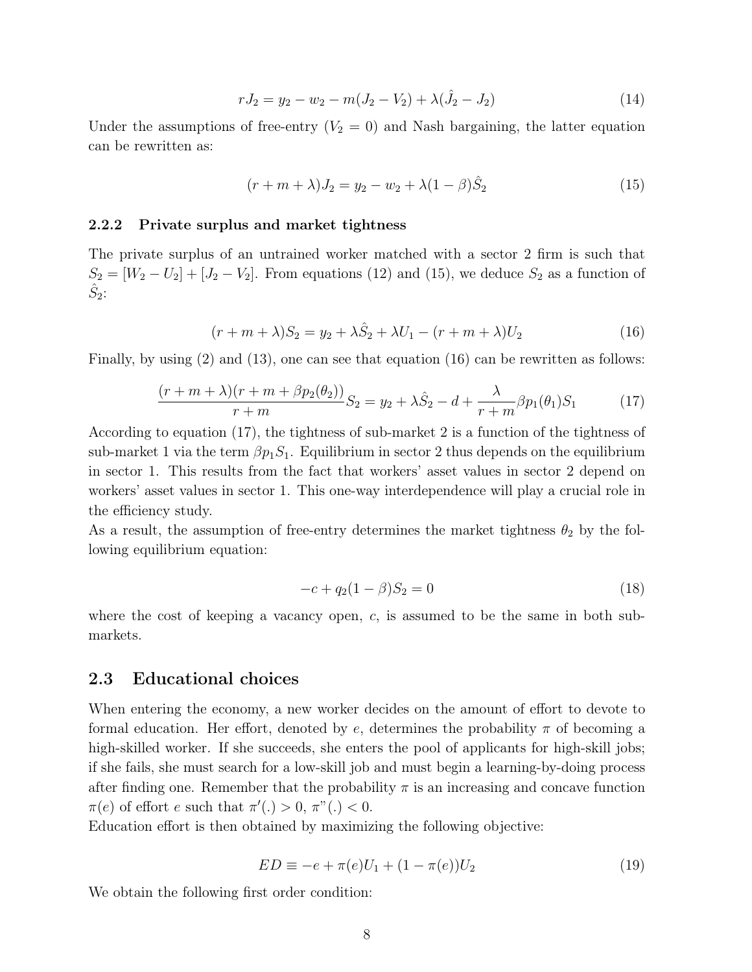$$
rJ_2 = y_2 - w_2 - m(J_2 - V_2) + \lambda(\hat{J}_2 - J_2)
$$
\n(14)

Under the assumptions of free-entry  $(V_2 = 0)$  and Nash bargaining, the latter equation can be rewritten as:

$$
(r + m + \lambda)J_2 = y_2 - w_2 + \lambda(1 - \beta)\hat{S}_2
$$
\n(15)

#### 2.2.2 Private surplus and market tightness

The private surplus of an untrained worker matched with a sector 2 firm is such that  $S_2 = [W_2 - U_2] + [J_2 - V_2]$ . From equations (12) and (15), we deduce  $S_2$  as a function of  $\hat{S}_2$ :

$$
(r + m + \lambda)S_2 = y_2 + \lambda \hat{S}_2 + \lambda U_1 - (r + m + \lambda)U_2
$$
\n(16)

Finally, by using (2) and (13), one can see that equation (16) can be rewritten as follows:

$$
\frac{(r+m+\lambda)(r+m+\beta p_2(\theta_2))}{r+m}S_2 = y_2 + \lambda \hat{S}_2 - d + \frac{\lambda}{r+m}\beta p_1(\theta_1)S_1\tag{17}
$$

According to equation (17), the tightness of sub-market 2 is a function of the tightness of sub-market 1 via the term  $\beta p_1 S_1$ . Equilibrium in sector 2 thus depends on the equilibrium in sector 1. This results from the fact that workers' asset values in sector 2 depend on workers' asset values in sector 1. This one-way interdependence will play a crucial role in the efficiency study.

As a result, the assumption of free-entry determines the market tightness  $\theta_2$  by the following equilibrium equation:

$$
-c + q_2(1 - \beta)S_2 = 0 \tag{18}
$$

where the cost of keeping a vacancy open,  $c$ , is assumed to be the same in both submarkets.

#### 2.3 Educational choices

When entering the economy, a new worker decides on the amount of effort to devote to formal education. Her effort, denoted by e, determines the probability  $\pi$  of becoming a high-skilled worker. If she succeeds, she enters the pool of applicants for high-skill jobs; if she fails, she must search for a low-skill job and must begin a learning-by-doing process after finding one. Remember that the probability  $\pi$  is an increasing and concave function  $\pi(e)$  of effort e such that  $\pi'(.) > 0, \pi^{(0)}(.) < 0.$ 

Education effort is then obtained by maximizing the following objective:

$$
ED \equiv -e + \pi(e)U_1 + (1 - \pi(e))U_2 \tag{19}
$$

We obtain the following first order condition: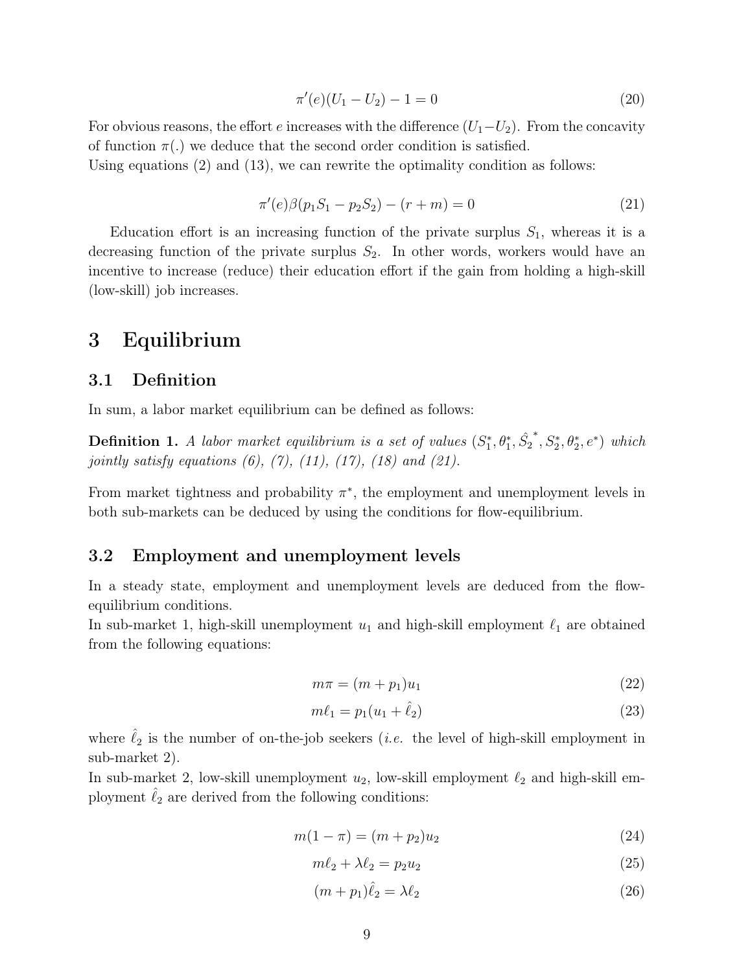$$
\pi'(e)(U_1 - U_2) - 1 = 0\tag{20}
$$

For obvious reasons, the effort e increases with the difference  $(U_1-U_2)$ . From the concavity of function  $\pi(.)$  we deduce that the second order condition is satisfied.

Using equations  $(2)$  and  $(13)$ , we can rewrite the optimality condition as follows:

$$
\pi'(e)\beta(p_1S_1 - p_2S_2) - (r+m) = 0 \tag{21}
$$

Education effort is an increasing function of the private surplus  $S_1$ , whereas it is a decreasing function of the private surplus  $S_2$ . In other words, workers would have an incentive to increase (reduce) their education effort if the gain from holding a high-skill (low-skill) job increases.

### 3 Equilibrium

### 3.1 Definition

In sum, a labor market equilibrium can be defined as follows:

**Definition 1.** A labor market equilibrium is a set of values  $(S_1^*, \theta_1^*, \hat{S_2})$ \*,  $S_2^*, \theta_2^*, e^*$ ) which jointly satisfy equations  $(6)$ ,  $(7)$ ,  $(11)$ ,  $(17)$ ,  $(18)$  and  $(21)$ .

From market tightness and probability  $\pi^*$ , the employment and unemployment levels in both sub-markets can be deduced by using the conditions for flow-equilibrium.

### 3.2 Employment and unemployment levels

In a steady state, employment and unemployment levels are deduced from the flowequilibrium conditions.

In sub-market 1, high-skill unemployment  $u_1$  and high-skill employment  $\ell_1$  are obtained from the following equations:

$$
m\pi = (m+p_1)u_1\tag{22}
$$

$$
m\ell_1 = p_1(u_1 + \hat{\ell}_2) \tag{23}
$$

where  $\ell_2$  is the number of on-the-job seekers (*i.e.* the level of high-skill employment in sub-market 2).

In sub-market 2, low-skill unemployment  $u_2$ , low-skill employment  $\ell_2$  and high-skill employment  $\ell_2$  are derived from the following conditions:

$$
m(1 - \pi) = (m + p_2)u_2
$$
\n(24)

$$
m\ell_2 + \lambda \ell_2 = p_2 u_2 \tag{25}
$$

$$
(m+p_1)\hat{\ell}_2 = \lambda \ell_2 \tag{26}
$$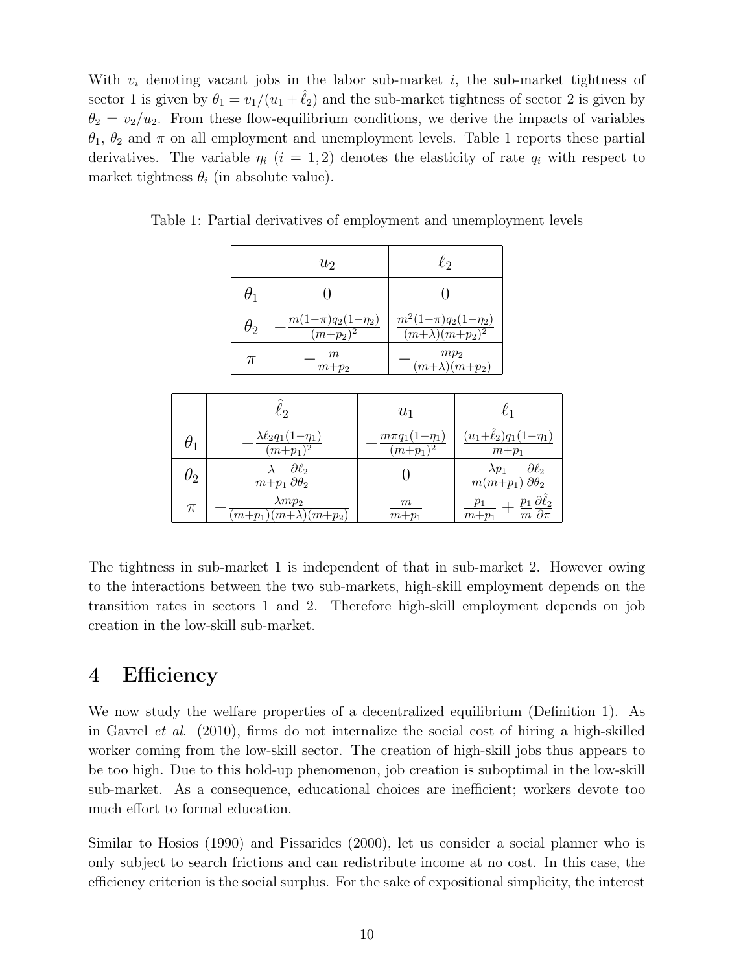With  $v_i$  denoting vacant jobs in the labor sub-market i, the sub-market tightness of sector 1 is given by  $\theta_1 = v_1/(u_1 + \ell_2)$  and the sub-market tightness of sector 2 is given by  $\theta_2 = v_2/u_2$ . From these flow-equilibrium conditions, we derive the impacts of variables  $\theta_1$ ,  $\theta_2$  and  $\pi$  on all employment and unemployment levels. Table 1 reports these partial derivatives. The variable  $\eta_i$  (i = 1,2) denotes the elasticity of rate  $q_i$  with respect to market tightness  $\theta_i$  (in absolute value).

| $\theta_1$<br>$\frac{m(1-\pi)q_2(1-\eta_2)}{(m+p_2)^2}$<br>$\theta_2$ | $m^2(1-\pi)q_2(1-\eta_2)$                           |
|-----------------------------------------------------------------------|-----------------------------------------------------|
|                                                                       |                                                     |
|                                                                       | $\frac{(m+\lambda)(m+p_2)^2}{(m+\lambda)(m+p_2)^2}$ |
| $\,m$<br>π<br>$m+p_2$                                                 | mp <sub>2</sub><br>$(m+\lambda)(m+p_2)$             |

Table 1: Partial derivatives of employment and unemployment levels

|            | lэ                                                                          | $u_1$                                          | $\ell_1$                                                                              |
|------------|-----------------------------------------------------------------------------|------------------------------------------------|---------------------------------------------------------------------------------------|
|            | $\lambda \ell_2 q_1 (1 - \eta_1)$<br>$(m+p_1)^2$                            | $m\pi q_1(1-\eta_1)$<br>$\overline{(m+p_1)^2}$ | $(u_1+\ell_2)q_1(1-\eta_1)$<br>$m+p_1$                                                |
| $\theta_2$ | $\underline{\partial \ell_2}$<br>$\overline{m+p_1} \overline{\partial h_2}$ |                                                | $\partial \ell_2$<br>$\lambda p_1$<br>$\overline{m(m+p_1)} \overline{\partial_{p_2}}$ |
| $\pi$      | $\lambda m p_2$<br>$(m+p_1)(m+\lambda)(m+p_2)$                              | m<br>$m+p_1$                                   | $-\frac{p_1}{m}\frac{\partial \hat{\ell}_2}{\partial \pi}$<br>$\overline{m} + p_1$    |

The tightness in sub-market 1 is independent of that in sub-market 2. However owing to the interactions between the two sub-markets, high-skill employment depends on the transition rates in sectors 1 and 2. Therefore high-skill employment depends on job creation in the low-skill sub-market.

### 4 Efficiency

We now study the welfare properties of a decentralized equilibrium (Definition 1). As in Gavrel et al. (2010), firms do not internalize the social cost of hiring a high-skilled worker coming from the low-skill sector. The creation of high-skill jobs thus appears to be too high. Due to this hold-up phenomenon, job creation is suboptimal in the low-skill sub-market. As a consequence, educational choices are inefficient; workers devote too much effort to formal education.

Similar to Hosios (1990) and Pissarides (2000), let us consider a social planner who is only subject to search frictions and can redistribute income at no cost. In this case, the efficiency criterion is the social surplus. For the sake of expositional simplicity, the interest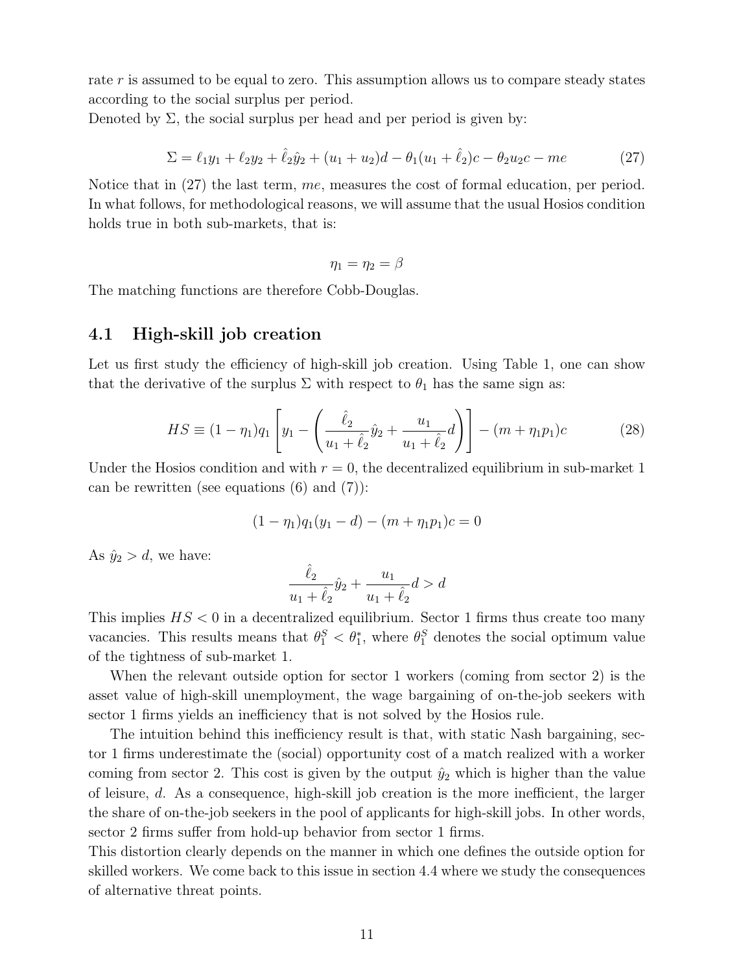rate r is assumed to be equal to zero. This assumption allows us to compare steady states according to the social surplus per period.

Denoted by  $\Sigma$ , the social surplus per head and per period is given by:

$$
\Sigma = \ell_1 y_1 + \ell_2 y_2 + \hat{\ell}_2 \hat{y}_2 + (u_1 + u_2)d - \theta_1 (u_1 + \hat{\ell}_2)c - \theta_2 u_2 c - me
$$
\n(27)

Notice that in (27) the last term, me, measures the cost of formal education, per period. In what follows, for methodological reasons, we will assume that the usual Hosios condition holds true in both sub-markets, that is:

$$
\eta_1=\eta_2=\beta
$$

The matching functions are therefore Cobb-Douglas.

### 4.1 High-skill job creation

Let us first study the efficiency of high-skill job creation. Using Table 1, one can show that the derivative of the surplus  $\Sigma$  with respect to  $\theta_1$  has the same sign as:

$$
HS \equiv (1 - \eta_1)q_1 \left[ y_1 - \left( \frac{\hat{\ell}_2}{u_1 + \hat{\ell}_2} \hat{y}_2 + \frac{u_1}{u_1 + \hat{\ell}_2} d \right) \right] - (m + \eta_1 p_1)c \tag{28}
$$

Under the Hosios condition and with  $r = 0$ , the decentralized equilibrium in sub-market 1 can be rewritten (see equations  $(6)$  and  $(7)$ ):

$$
(1 - \eta_1)q_1(y_1 - d) - (m + \eta_1 p_1)c = 0
$$

As  $\hat{y}_2 > d$ , we have:

$$
\frac{\hat{\ell}_2}{u_1 + \hat{\ell}_2} \hat{y}_2 + \frac{u_1}{u_1 + \hat{\ell}_2} d > d
$$

This implies  $HS < 0$  in a decentralized equilibrium. Sector 1 firms thus create too many vacancies. This results means that  $\theta_1^S < \theta_1^*$ , where  $\theta_1^S$  denotes the social optimum value of the tightness of sub-market 1.

When the relevant outside option for sector 1 workers (coming from sector 2) is the asset value of high-skill unemployment, the wage bargaining of on-the-job seekers with sector 1 firms yields an inefficiency that is not solved by the Hosios rule.

The intuition behind this inefficiency result is that, with static Nash bargaining, sector 1 firms underestimate the (social) opportunity cost of a match realized with a worker coming from sector 2. This cost is given by the output  $\hat{y}_2$  which is higher than the value of leisure, d. As a consequence, high-skill job creation is the more inefficient, the larger the share of on-the-job seekers in the pool of applicants for high-skill jobs. In other words, sector 2 firms suffer from hold-up behavior from sector 1 firms.

This distortion clearly depends on the manner in which one defines the outside option for skilled workers. We come back to this issue in section 4.4 where we study the consequences of alternative threat points.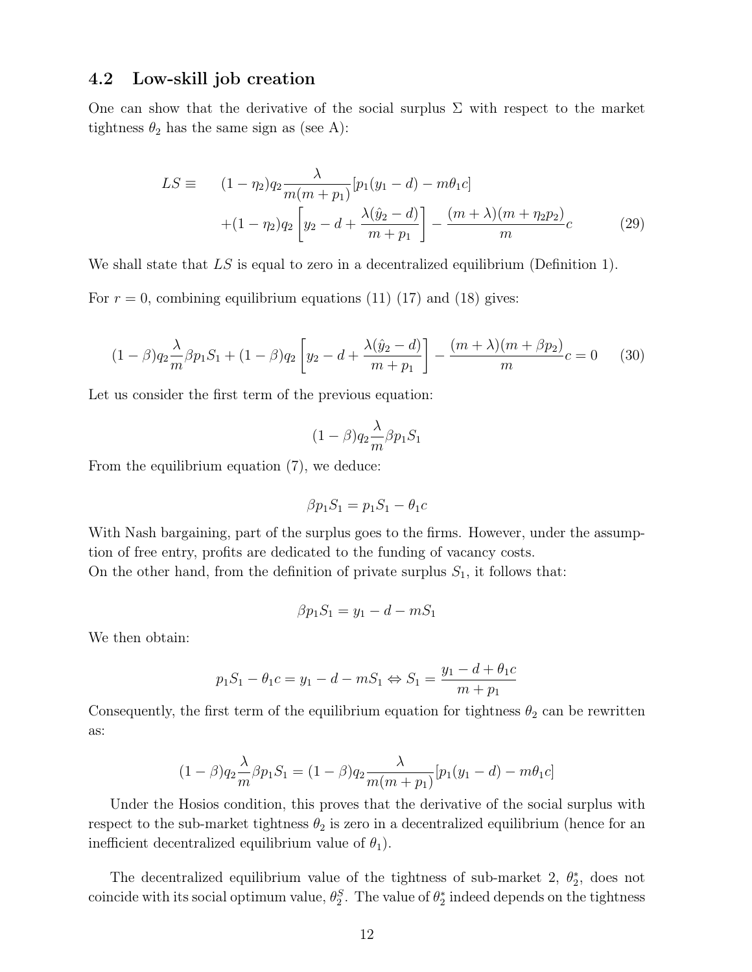### 4.2 Low-skill job creation

One can show that the derivative of the social surplus  $\Sigma$  with respect to the market tightness  $\theta_2$  has the same sign as (see A):

$$
LS \equiv (1 - \eta_2)q_2 \frac{\lambda}{m(m + p_1)} [p_1(y_1 - d) - m\theta_1 c] + (1 - \eta_2)q_2 \left[ y_2 - d + \frac{\lambda(\hat{y}_2 - d)}{m + p_1} \right] - \frac{(m + \lambda)(m + \eta_2 p_2)}{m} c
$$
(29)

We shall state that LS is equal to zero in a decentralized equilibrium (Definition 1).

For  $r = 0$ , combining equilibrium equations (11) (17) and (18) gives:

$$
(1 - \beta)q_2 \frac{\lambda}{m} \beta p_1 S_1 + (1 - \beta)q_2 \left[ y_2 - d + \frac{\lambda(\hat{y}_2 - d)}{m + p_1} \right] - \frac{(m + \lambda)(m + \beta p_2)}{m} c = 0 \quad (30)
$$

Let us consider the first term of the previous equation:

$$
(1 - \beta) q_2 \frac{\lambda}{m} \beta p_1 S_1
$$

From the equilibrium equation (7), we deduce:

$$
\beta p_1 S_1 = p_1 S_1 - \theta_1 c
$$

With Nash bargaining, part of the surplus goes to the firms. However, under the assumption of free entry, profits are dedicated to the funding of vacancy costs. On the other hand, from the definition of private surplus  $S_1$ , it follows that:

$$
\beta p_1 S_1 = y_1 - d - m S_1
$$

We then obtain:

$$
p_1 S_1 - \theta_1 c = y_1 - d - m S_1 \Leftrightarrow S_1 = \frac{y_1 - d + \theta_1 c}{m + p_1}
$$

Consequently, the first term of the equilibrium equation for tightness  $\theta_2$  can be rewritten as:

$$
(1 - \beta)q_2 \frac{\lambda}{m} \beta p_1 S_1 = (1 - \beta)q_2 \frac{\lambda}{m(m + p_1)} [p_1(y_1 - d) - m\theta_1 c]
$$

Under the Hosios condition, this proves that the derivative of the social surplus with respect to the sub-market tightness  $\theta_2$  is zero in a decentralized equilibrium (hence for an inefficient decentralized equilibrium value of  $\theta_1$ ).

The decentralized equilibrium value of the tightness of sub-market 2,  $\theta_2^*$ , does not coincide with its social optimum value,  $\theta_2^S$ . The value of  $\theta_2^*$  indeed depends on the tightness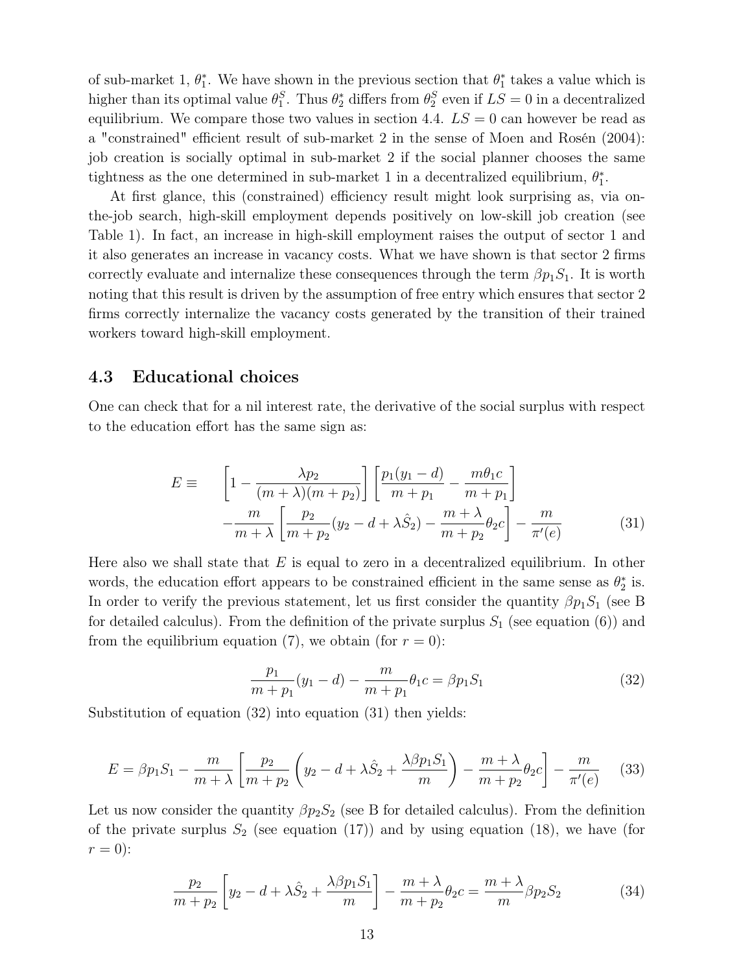of sub-market 1,  $\theta_1^*$ . We have shown in the previous section that  $\theta_1^*$  takes a value which is higher than its optimal value  $\theta_1^S$ . Thus  $\theta_2^*$  differs from  $\theta_2^S$  even if  $LS = 0$  in a decentralized equilibrium. We compare those two values in section 4.4.  $LS = 0$  can however be read as a "constrained" efficient result of sub-market 2 in the sense of Moen and Rosén (2004): job creation is socially optimal in sub-market 2 if the social planner chooses the same tightness as the one determined in sub-market 1 in a decentralized equilibrium,  $\theta_1^*$ .

At first glance, this (constrained) efficiency result might look surprising as, via onthe-job search, high-skill employment depends positively on low-skill job creation (see Table 1). In fact, an increase in high-skill employment raises the output of sector 1 and it also generates an increase in vacancy costs. What we have shown is that sector 2 firms correctly evaluate and internalize these consequences through the term  $\beta p_1S_1$ . It is worth noting that this result is driven by the assumption of free entry which ensures that sector 2 firms correctly internalize the vacancy costs generated by the transition of their trained workers toward high-skill employment.

### 4.3 Educational choices

One can check that for a nil interest rate, the derivative of the social surplus with respect to the education effort has the same sign as:

$$
E \equiv \left[1 - \frac{\lambda p_2}{(m + \lambda)(m + p_2)}\right] \left[\frac{p_1(y_1 - d)}{m + p_1} - \frac{m\theta_1 c}{m + p_1}\right] - \frac{m}{m + \lambda} \left[\frac{p_2}{m + p_2}(y_2 - d + \lambda \hat{S}_2) - \frac{m + \lambda}{m + p_2}\theta_2 c\right] - \frac{m}{\pi'(e)}
$$
(31)

Here also we shall state that  $E$  is equal to zero in a decentralized equilibrium. In other words, the education effort appears to be constrained efficient in the same sense as  $\theta_2^*$  is. In order to verify the previous statement, let us first consider the quantity  $\beta p_1S_1$  (see B for detailed calculus). From the definition of the private surplus  $S_1$  (see equation (6)) and from the equilibrium equation (7), we obtain (for  $r = 0$ ):

$$
\frac{p_1}{m+p_1}(y_1-d) - \frac{m}{m+p_1}\theta_1 c = \beta p_1 S_1 \tag{32}
$$

Substitution of equation (32) into equation (31) then yields:

$$
E = \beta p_1 S_1 - \frac{m}{m + \lambda} \left[ \frac{p_2}{m + p_2} \left( y_2 - d + \lambda \hat{S}_2 + \frac{\lambda \beta p_1 S_1}{m} \right) - \frac{m + \lambda}{m + p_2} \theta_2 c \right] - \frac{m}{\pi'(e)} \tag{33}
$$

Let us now consider the quantity  $\beta p_2 S_2$  (see B for detailed calculus). From the definition of the private surplus  $S_2$  (see equation (17)) and by using equation (18), we have (for  $r = 0$ :

$$
\frac{p_2}{m+p_2} \left[ y_2 - d + \lambda \hat{S}_2 + \frac{\lambda \beta p_1 S_1}{m} \right] - \frac{m+\lambda}{m+p_2} \theta_2 c = \frac{m+\lambda}{m} \beta p_2 S_2 \tag{34}
$$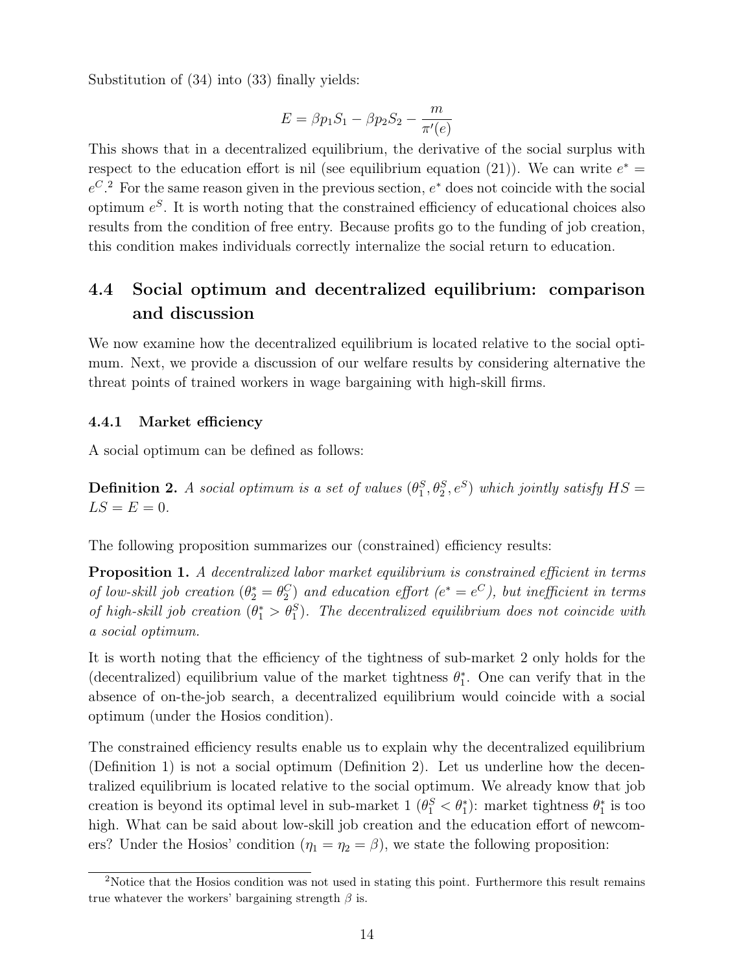Substitution of (34) into (33) finally yields:

$$
E = \beta p_1 S_1 - \beta p_2 S_2 - \frac{m}{\pi'(e)}
$$

This shows that in a decentralized equilibrium, the derivative of the social surplus with respect to the education effort is nil (see equilibrium equation (21)). We can write  $e^* =$  $e^{C}$ . For the same reason given in the previous section,  $e^*$  does not coincide with the social optimum  $e^{S}$ . It is worth noting that the constrained efficiency of educational choices also results from the condition of free entry. Because profits go to the funding of job creation, this condition makes individuals correctly internalize the social return to education.

### 4.4 Social optimum and decentralized equilibrium: comparison and discussion

We now examine how the decentralized equilibrium is located relative to the social optimum. Next, we provide a discussion of our welfare results by considering alternative the threat points of trained workers in wage bargaining with high-skill firms.

#### 4.4.1 Market efficiency

A social optimum can be defined as follows:

**Definition 2.** A social optimum is a set of values  $(\theta_1^S, \theta_2^S, e^S)$  which jointly satisfy  $HS =$  $LS = E = 0.$ 

The following proposition summarizes our (constrained) efficiency results:

Proposition 1. A decentralized labor market equilibrium is constrained efficient in terms of low-skill job creation  $(\theta_2^* = \theta_2^C)$  and education effort  $(e^* = e^C)$ , but inefficient in terms of high-skill job creation  $(\theta_1^* > \theta_1^S)$ . The decentralized equilibrium does not coincide with a social optimum.

It is worth noting that the efficiency of the tightness of sub-market 2 only holds for the (decentralized) equilibrium value of the market tightness  $\theta_1^*$ . One can verify that in the absence of on-the-job search, a decentralized equilibrium would coincide with a social optimum (under the Hosios condition).

The constrained efficiency results enable us to explain why the decentralized equilibrium (Definition 1) is not a social optimum (Definition 2). Let us underline how the decentralized equilibrium is located relative to the social optimum. We already know that job creation is beyond its optimal level in sub-market  $1 \left( \theta_1^S \lt \theta_1^* \right)$ : market tightness  $\theta_1^*$  is too high. What can be said about low-skill job creation and the education effort of newcomers? Under the Hosios' condition  $(\eta_1 = \eta_2 = \beta)$ , we state the following proposition:

<sup>&</sup>lt;sup>2</sup>Notice that the Hosios condition was not used in stating this point. Furthermore this result remains true whatever the workers' bargaining strength  $\beta$  is.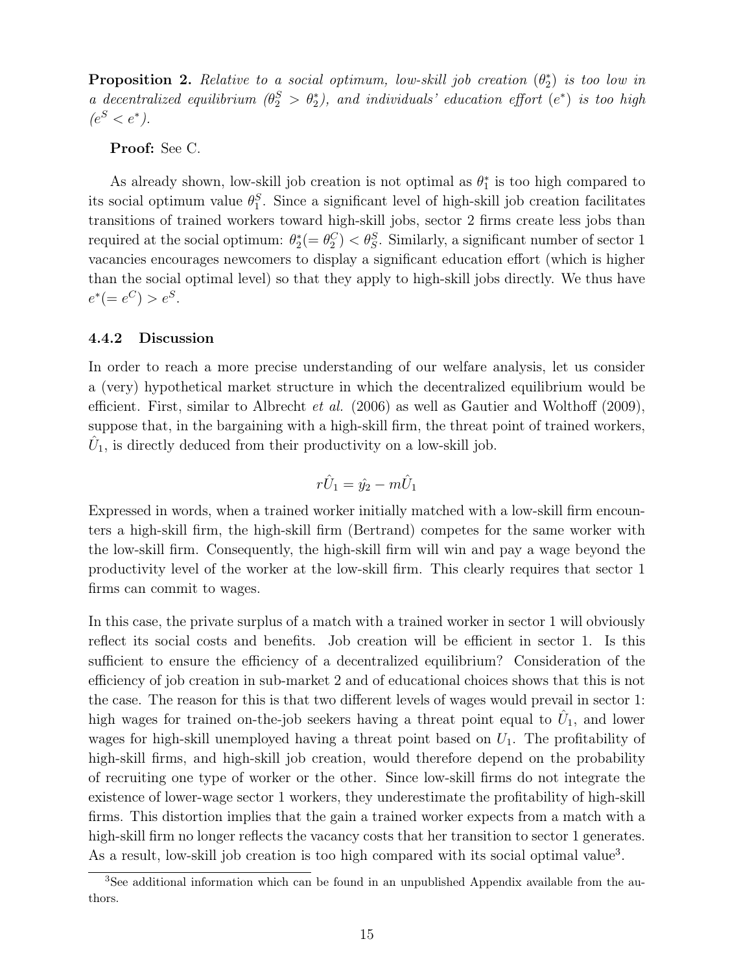**Proposition 2.** Relative to a social optimum, low-skill job creation  $(\theta_2^*)$  is too low in a decentralized equilibrium  $(\theta_2^S > \theta_2^*)$ , and individuals' education effort  $(e^*)$  is too high  $(e^S < e^*).$ 

Proof: See C.

As already shown, low-skill job creation is not optimal as  $\theta_1^*$  is too high compared to its social optimum value  $\theta_1^S$ . Since a significant level of high-skill job creation facilitates transitions of trained workers toward high-skill jobs, sector 2 firms create less jobs than required at the social optimum:  $\theta_2^*(-\theta_2^C) < \theta_S^S$ . Similarly, a significant number of sector 1 vacancies encourages newcomers to display a significant education effort (which is higher than the social optimal level) so that they apply to high-skill jobs directly. We thus have  $e^*(-e^C) > e^S.$ 

#### 4.4.2 Discussion

In order to reach a more precise understanding of our welfare analysis, let us consider a (very) hypothetical market structure in which the decentralized equilibrium would be efficient. First, similar to Albrecht *et al.* (2006) as well as Gautier and Wolthoff (2009), suppose that, in the bargaining with a high-skill firm, the threat point of trained workers,  $\hat{U}_1$ , is directly deduced from their productivity on a low-skill job.

$$
r\hat{U}_1 = \hat{y_2} - m\hat{U}_1
$$

Expressed in words, when a trained worker initially matched with a low-skill firm encounters a high-skill firm, the high-skill firm (Bertrand) competes for the same worker with the low-skill firm. Consequently, the high-skill firm will win and pay a wage beyond the productivity level of the worker at the low-skill firm. This clearly requires that sector 1 firms can commit to wages.

In this case, the private surplus of a match with a trained worker in sector 1 will obviously reflect its social costs and benefits. Job creation will be efficient in sector 1. Is this sufficient to ensure the efficiency of a decentralized equilibrium? Consideration of the efficiency of job creation in sub-market 2 and of educational choices shows that this is not the case. The reason for this is that two different levels of wages would prevail in sector 1: high wages for trained on-the-job seekers having a threat point equal to  $\hat{U}_1$ , and lower wages for high-skill unemployed having a threat point based on  $U_1$ . The profitability of high-skill firms, and high-skill job creation, would therefore depend on the probability of recruiting one type of worker or the other. Since low-skill firms do not integrate the existence of lower-wage sector 1 workers, they underestimate the profitability of high-skill firms. This distortion implies that the gain a trained worker expects from a match with a high-skill firm no longer reflects the vacancy costs that her transition to sector 1 generates. As a result, low-skill job creation is too high compared with its social optimal value<sup>3</sup>.

<sup>&</sup>lt;sup>3</sup>See additional information which can be found in an unpublished Appendix available from the authors.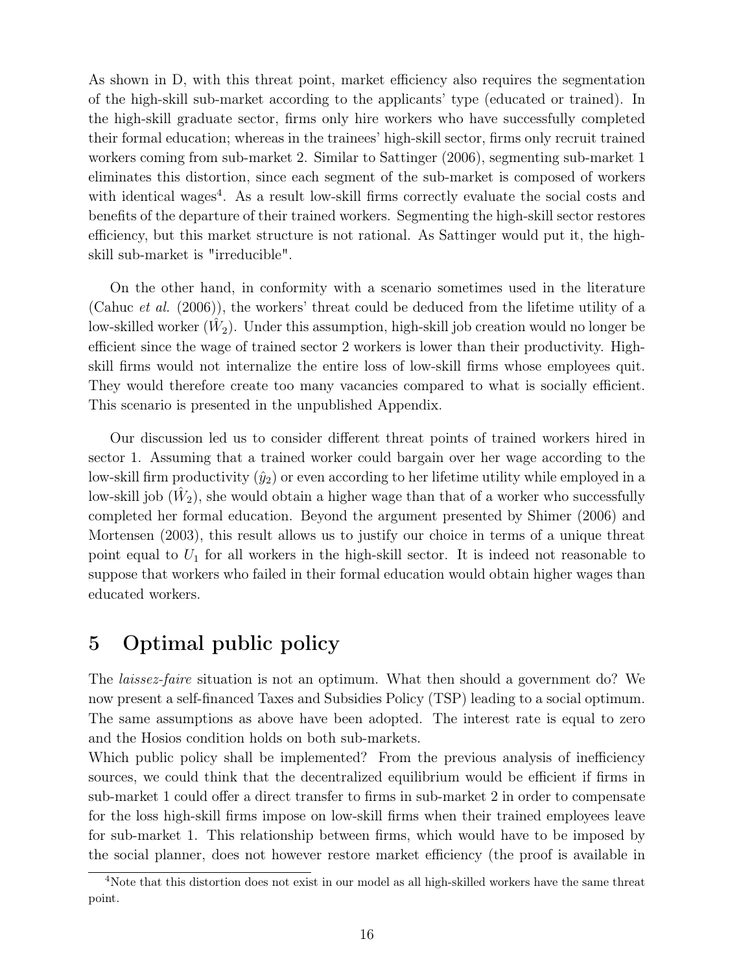As shown in D, with this threat point, market efficiency also requires the segmentation of the high-skill sub-market according to the applicants' type (educated or trained). In the high-skill graduate sector, firms only hire workers who have successfully completed their formal education; whereas in the trainees' high-skill sector, firms only recruit trained workers coming from sub-market 2. Similar to Sattinger (2006), segmenting sub-market 1 eliminates this distortion, since each segment of the sub-market is composed of workers with identical wages<sup>4</sup>. As a result low-skill firms correctly evaluate the social costs and benefits of the departure of their trained workers. Segmenting the high-skill sector restores efficiency, but this market structure is not rational. As Sattinger would put it, the highskill sub-market is "irreducible".

On the other hand, in conformity with a scenario sometimes used in the literature (Cahuc *et al.* (2006)), the workers' threat could be deduced from the lifetime utility of a low-skilled worker  $(\hat{W}_2)$ . Under this assumption, high-skill job creation would no longer be efficient since the wage of trained sector 2 workers is lower than their productivity. Highskill firms would not internalize the entire loss of low-skill firms whose employees quit. They would therefore create too many vacancies compared to what is socially efficient. This scenario is presented in the unpublished Appendix.

Our discussion led us to consider different threat points of trained workers hired in sector 1. Assuming that a trained worker could bargain over her wage according to the low-skill firm productivity  $(\hat{y}_2)$  or even according to her lifetime utility while employed in a low-skill job  $(\hat{W}_2)$ , she would obtain a higher wage than that of a worker who successfully completed her formal education. Beyond the argument presented by Shimer (2006) and Mortensen (2003), this result allows us to justify our choice in terms of a unique threat point equal to  $U_1$  for all workers in the high-skill sector. It is indeed not reasonable to suppose that workers who failed in their formal education would obtain higher wages than educated workers.

### 5 Optimal public policy

The laissez-faire situation is not an optimum. What then should a government do? We now present a self-financed Taxes and Subsidies Policy (TSP) leading to a social optimum. The same assumptions as above have been adopted. The interest rate is equal to zero and the Hosios condition holds on both sub-markets.

Which public policy shall be implemented? From the previous analysis of inefficiency sources, we could think that the decentralized equilibrium would be efficient if firms in sub-market 1 could offer a direct transfer to firms in sub-market 2 in order to compensate for the loss high-skill firms impose on low-skill firms when their trained employees leave for sub-market 1. This relationship between firms, which would have to be imposed by the social planner, does not however restore market efficiency (the proof is available in

<sup>4</sup>Note that this distortion does not exist in our model as all high-skilled workers have the same threat point.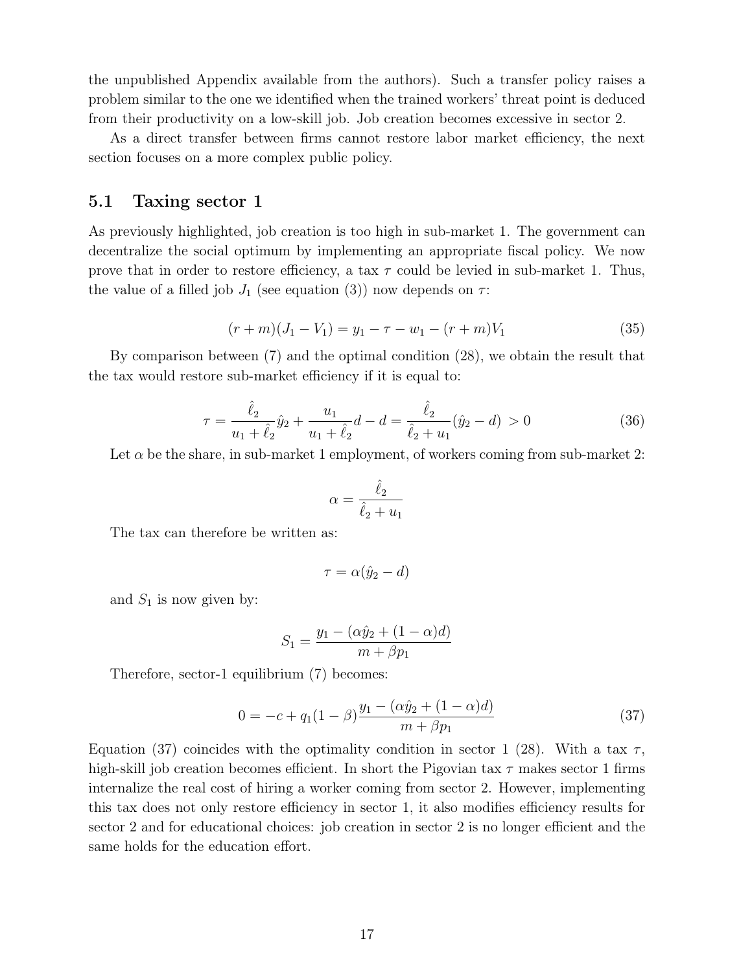the unpublished Appendix available from the authors). Such a transfer policy raises a problem similar to the one we identified when the trained workers' threat point is deduced from their productivity on a low-skill job. Job creation becomes excessive in sector 2.

As a direct transfer between firms cannot restore labor market efficiency, the next section focuses on a more complex public policy.

### 5.1 Taxing sector 1

As previously highlighted, job creation is too high in sub-market 1. The government can decentralize the social optimum by implementing an appropriate fiscal policy. We now prove that in order to restore efficiency, a tax  $\tau$  could be levied in sub-market 1. Thus, the value of a filled job  $J_1$  (see equation (3)) now depends on  $\tau$ :

$$
(r+m)(J_1 - V_1) = y_1 - \tau - w_1 - (r+m)V_1 \tag{35}
$$

By comparison between (7) and the optimal condition (28), we obtain the result that the tax would restore sub-market efficiency if it is equal to:

$$
\tau = \frac{\hat{\ell}_2}{u_1 + \hat{\ell}_2} \hat{y}_2 + \frac{u_1}{u_1 + \hat{\ell}_2} d - d = \frac{\hat{\ell}_2}{\hat{\ell}_2 + u_1} (\hat{y}_2 - d) > 0 \tag{36}
$$

Let  $\alpha$  be the share, in sub-market 1 employment, of workers coming from sub-market 2:

$$
\alpha = \frac{\hat{\ell}_2}{\hat{\ell}_2 + u_1}
$$

The tax can therefore be written as:

$$
\tau = \alpha(\hat{y}_2 - d)
$$

and  $S_1$  is now given by:

$$
S_1 = \frac{y_1 - (\alpha \hat{y}_2 + (1 - \alpha)d)}{m + \beta p_1}
$$

Therefore, sector-1 equilibrium (7) becomes:

$$
0 = -c + q_1(1 - \beta) \frac{y_1 - (\alpha \hat{y}_2 + (1 - \alpha)d)}{m + \beta p_1}
$$
\n(37)

Equation (37) coincides with the optimality condition in sector 1 (28). With a tax  $\tau$ , high-skill job creation becomes efficient. In short the Pigovian tax  $\tau$  makes sector 1 firms internalize the real cost of hiring a worker coming from sector 2. However, implementing this tax does not only restore efficiency in sector 1, it also modifies efficiency results for sector 2 and for educational choices: job creation in sector 2 is no longer efficient and the same holds for the education effort.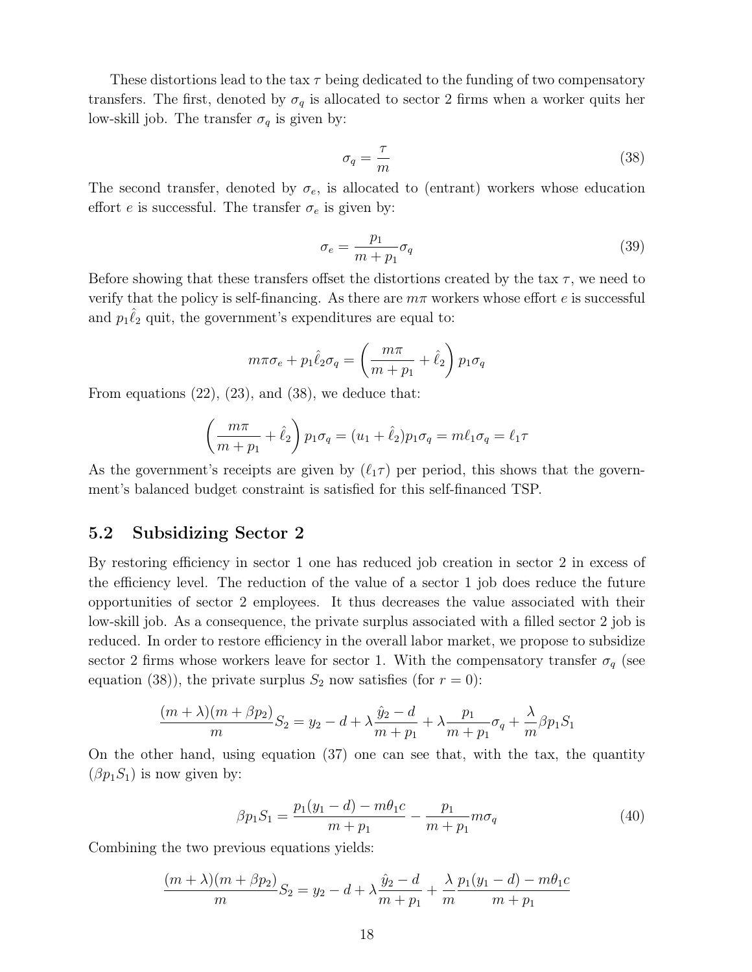These distortions lead to the tax  $\tau$  being dedicated to the funding of two compensatory transfers. The first, denoted by  $\sigma_q$  is allocated to sector 2 firms when a worker quits her low-skill job. The transfer  $\sigma_q$  is given by:

$$
\sigma_q = \frac{\tau}{m} \tag{38}
$$

The second transfer, denoted by  $\sigma_e$ , is allocated to (entrant) workers whose education effort  $e$  is successful. The transfer  $\sigma_e$  is given by:

$$
\sigma_e = \frac{p_1}{m + p_1} \sigma_q \tag{39}
$$

Before showing that these transfers offset the distortions created by the tax  $\tau$ , we need to verify that the policy is self-financing. As there are  $m\pi$  workers whose effort e is successful and  $p_1\hat{\ell}_2$  quit, the government's expenditures are equal to:

$$
m\pi\sigma_e+p_1\hat{\ell}_2\sigma_q=\left(\frac{m\pi}{m+p_1}+\hat{\ell}_2\right)p_1\sigma_q
$$

From equations  $(22)$ ,  $(23)$ , and  $(38)$ , we deduce that:

$$
\left(\frac{m\pi}{m+p_1} + \hat{\ell}_2\right) p_1 \sigma_q = (u_1 + \hat{\ell}_2) p_1 \sigma_q = m\ell_1 \sigma_q = \ell_1 \tau
$$

As the government's receipts are given by  $(\ell_1 \tau)$  per period, this shows that the government's balanced budget constraint is satisfied for this self-financed TSP.

### 5.2 Subsidizing Sector 2

By restoring efficiency in sector 1 one has reduced job creation in sector 2 in excess of the efficiency level. The reduction of the value of a sector 1 job does reduce the future opportunities of sector 2 employees. It thus decreases the value associated with their low-skill job. As a consequence, the private surplus associated with a filled sector 2 job is reduced. In order to restore efficiency in the overall labor market, we propose to subsidize sector 2 firms whose workers leave for sector 1. With the compensatory transfer  $\sigma_q$  (see equation (38)), the private surplus  $S_2$  now satisfies (for  $r = 0$ ):

$$
\frac{(m+\lambda)(m+\beta p_2)}{m}S_2 = y_2 - d + \lambda \frac{\hat{y}_2 - d}{m+p_1} + \lambda \frac{p_1}{m+p_1} \sigma_q + \frac{\lambda}{m} \beta p_1 S_1
$$

On the other hand, using equation (37) one can see that, with the tax, the quantity  $(\beta p_1 S_1)$  is now given by:

$$
\beta p_1 S_1 = \frac{p_1(y_1 - d) - m\theta_1 c}{m + p_1} - \frac{p_1}{m + p_1} m\sigma_q \tag{40}
$$

Combining the two previous equations yields:

$$
\frac{(m+\lambda)(m+\beta p_2)}{m}S_2 = y_2 - d + \lambda \frac{\hat{y}_2 - d}{m+p_1} + \frac{\lambda}{m} \frac{p_1(y_1 - d) - m\theta_1 c}{m+p_1}
$$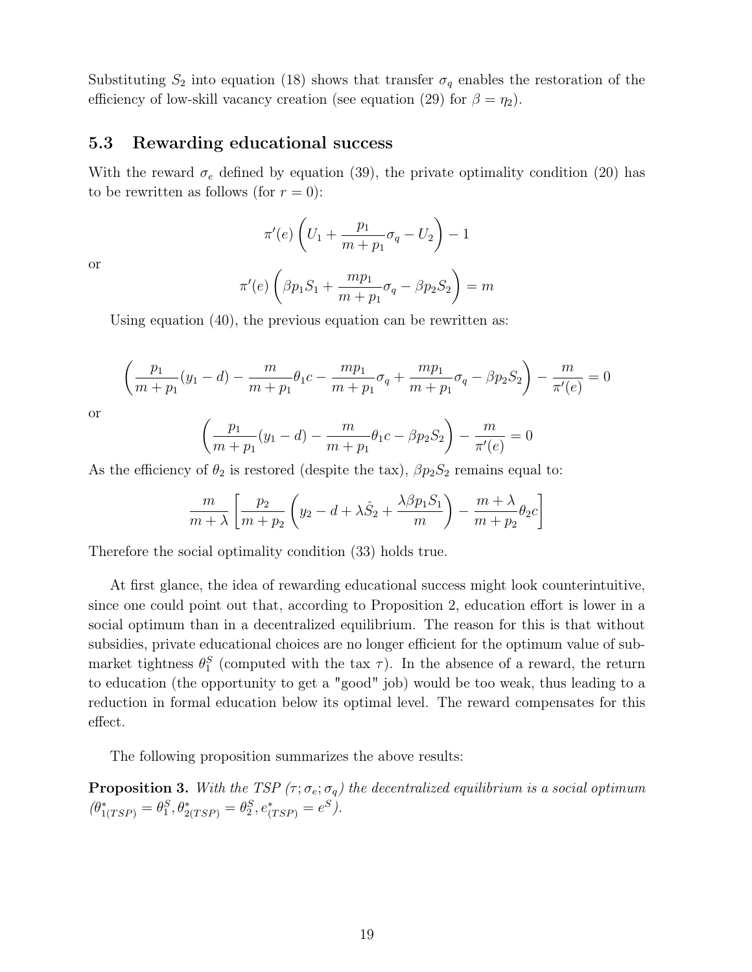Substituting  $S_2$  into equation (18) shows that transfer  $\sigma_q$  enables the restoration of the efficiency of low-skill vacancy creation (see equation (29) for  $\beta = \eta_2$ ).

#### 5.3 Rewarding educational success

With the reward  $\sigma_e$  defined by equation (39), the private optimality condition (20) has to be rewritten as follows (for  $r = 0$ ):

$$
\pi'(e)\left(U_1+\frac{p_1}{m+p_1}\sigma_q-U_2\right)-1
$$

or

$$
\pi'(e)\left(\beta p_1 S_1 + \frac{m p_1}{m+p_1} \sigma_q - \beta p_2 S_2\right) = m
$$

Using equation (40), the previous equation can be rewritten as:

$$
\left(\frac{p_1}{m+p_1}(y_1-d) - \frac{m}{m+p_1}\theta_1c - \frac{mp_1}{m+p_1}\sigma_q + \frac{mp_1}{m+p_1}\sigma_q - \beta p_2 S_2\right) - \frac{m}{\pi'(e)} = 0
$$

or

$$
\left(\frac{p_1}{m+p_1}(y_1-d) - \frac{m}{m+p_1}\theta_1 c - \beta p_2 S_2\right) - \frac{m}{\pi'(e)} = 0
$$

As the efficiency of  $\theta_2$  is restored (despite the tax),  $\beta p_2 S_2$  remains equal to:

$$
\frac{m}{m+\lambda} \left[ \frac{p_2}{m+p_2} \left( y_2 - d + \lambda \hat{S}_2 + \frac{\lambda \beta p_1 S_1}{m} \right) - \frac{m+\lambda}{m+p_2} \theta_2 c \right]
$$

Therefore the social optimality condition (33) holds true.

At first glance, the idea of rewarding educational success might look counterintuitive, since one could point out that, according to Proposition 2, education effort is lower in a social optimum than in a decentralized equilibrium. The reason for this is that without subsidies, private educational choices are no longer efficient for the optimum value of submarket tightness  $\theta_1^S$  (computed with the tax  $\tau$ ). In the absence of a reward, the return to education (the opportunity to get a "good" job) would be too weak, thus leading to a reduction in formal education below its optimal level. The reward compensates for this effect.

The following proposition summarizes the above results:

**Proposition 3.** With the TSP  $(\tau; \sigma_e; \sigma_q)$  the decentralized equilibrium is a social optimum  $(\theta_{1(TSP)}^* = \theta_1^S, \theta_{2(TSP)}^* = \theta_2^S, e_{(TSP)}^* = e^S).$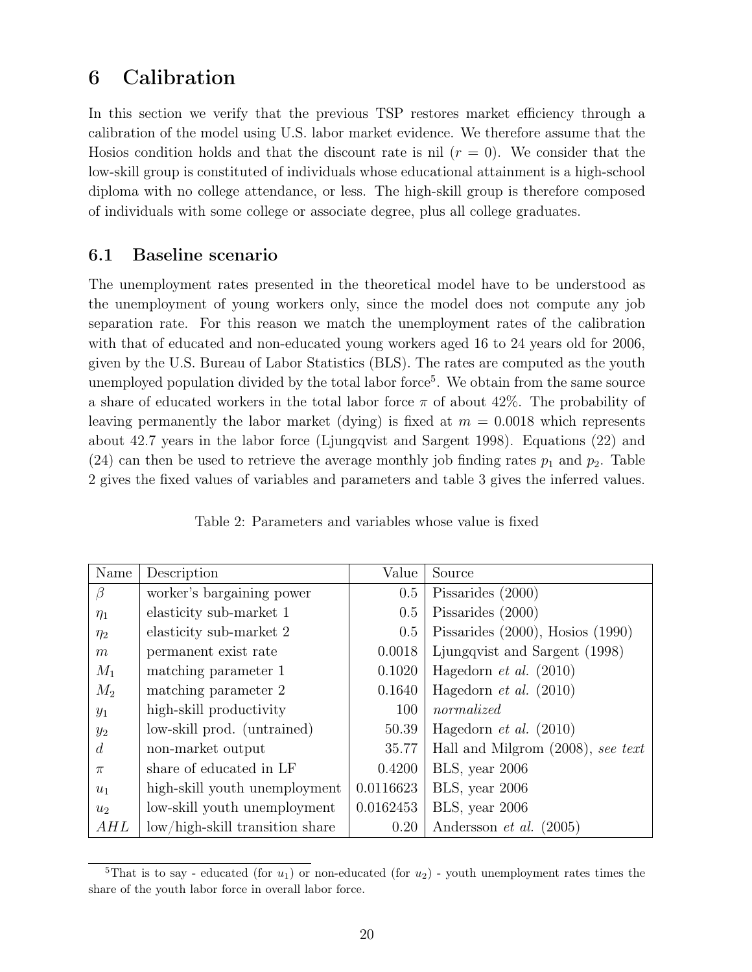### 6 Calibration

In this section we verify that the previous TSP restores market efficiency through a calibration of the model using U.S. labor market evidence. We therefore assume that the Hosios condition holds and that the discount rate is nil  $(r = 0)$ . We consider that the low-skill group is constituted of individuals whose educational attainment is a high-school diploma with no college attendance, or less. The high-skill group is therefore composed of individuals with some college or associate degree, plus all college graduates.

### 6.1 Baseline scenario

The unemployment rates presented in the theoretical model have to be understood as the unemployment of young workers only, since the model does not compute any job separation rate. For this reason we match the unemployment rates of the calibration with that of educated and non-educated young workers aged 16 to 24 years old for 2006, given by the U.S. Bureau of Labor Statistics (BLS). The rates are computed as the youth unemployed population divided by the total labor force<sup>5</sup>. We obtain from the same source a share of educated workers in the total labor force  $\pi$  of about 42%. The probability of leaving permanently the labor market (dying) is fixed at  $m = 0.0018$  which represents about 42.7 years in the labor force (Ljungqvist and Sargent 1998). Equations (22) and (24) can then be used to retrieve the average monthly job finding rates  $p_1$  and  $p_2$ . Table 2 gives the fixed values of variables and parameters and table 3 gives the inferred values.

| Name           | Description                     | Value     | Source                                |
|----------------|---------------------------------|-----------|---------------------------------------|
| $\beta$        | worker's bargaining power       | 0.5       | Pissarides (2000)                     |
| $\eta_1$       | elasticity sub-market 1         | 0.5       | Pissarides (2000)                     |
| $\eta_2$       | elasticity sub-market 2         | 0.5       | Pissarides $(2000)$ , Hosios $(1990)$ |
| m              | permanent exist rate            | 0.0018    | Ljungqvist and Sargent (1998)         |
| $M_1$          | matching parameter 1            | 0.1020    | Hagedorn $et \ al. (2010)$            |
| $M_2$          | matching parameter 2            | 0.1640    | Hagedorn <i>et al.</i> $(2010)$       |
| $y_1$          | high-skill productivity         | 100       | normalized                            |
| $y_2$          | low-skill prod. (untrained)     | 50.39     | Hagedorn $et \ al. (2010)$            |
| $\overline{d}$ | non-market output               | 35.77     | Hall and Milgrom $(2008)$ , see text  |
| $\pi$          | share of educated in LF         | 0.4200    | BLS, year 2006                        |
| $u_1$          | high-skill youth unemployment   | 0.0116623 | BLS, year 2006                        |
| $u_2$          | low-skill youth unemployment    | 0.0162453 | BLS, year 2006                        |
| AHL            | low/high-skill transition share | 0.20      | Andersson <i>et al.</i> $(2005)$      |

Table 2: Parameters and variables whose value is fixed

<sup>&</sup>lt;sup>5</sup>That is to say - educated (for  $u_1$ ) or non-educated (for  $u_2$ ) - youth unemployment rates times the share of the youth labor force in overall labor force.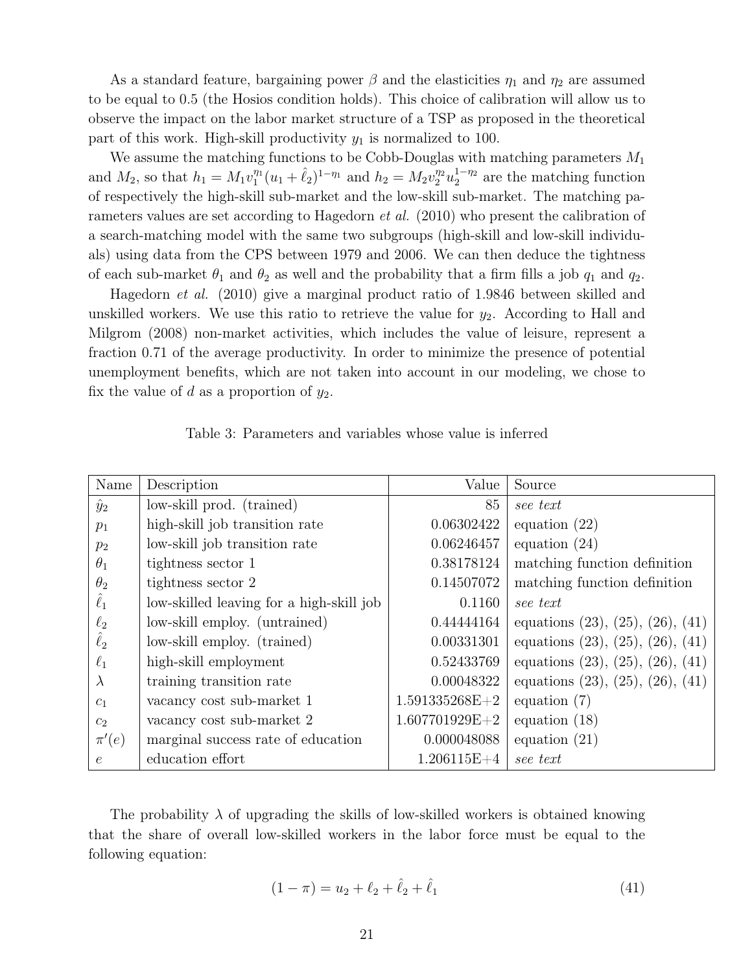As a standard feature, bargaining power  $\beta$  and the elasticities  $\eta_1$  and  $\eta_2$  are assumed to be equal to 0.5 (the Hosios condition holds). This choice of calibration will allow us to observe the impact on the labor market structure of a TSP as proposed in the theoretical part of this work. High-skill productivity  $y_1$  is normalized to 100.

We assume the matching functions to be Cobb-Douglas with matching parameters  $M_1$ and  $M_2$ , so that  $h_1 = M_1 v_1^{\eta_1} (u_1 + \hat{\ell}_2)^{1-\eta_1}$  and  $h_2 = M_2 v_2^{\eta_2} u_2^{1-\eta_2}$  are the matching function of respectively the high-skill sub-market and the low-skill sub-market. The matching parameters values are set according to Hagedorn et al. (2010) who present the calibration of a search-matching model with the same two subgroups (high-skill and low-skill individuals) using data from the CPS between 1979 and 2006. We can then deduce the tightness of each sub-market  $\theta_1$  and  $\theta_2$  as well and the probability that a firm fills a job  $q_1$  and  $q_2$ .

Hagedorn et al. (2010) give a marginal product ratio of 1.9846 between skilled and unskilled workers. We use this ratio to retrieve the value for  $y_2$ . According to Hall and Milgrom (2008) non-market activities, which includes the value of leisure, represent a fraction 0.71 of the average productivity. In order to minimize the presence of potential unemployment benefits, which are not taken into account in our modeling, we chose to fix the value of d as a proportion of  $y_2$ .

| Name           | Description                              | Value            | Source                                      |
|----------------|------------------------------------------|------------------|---------------------------------------------|
| $\hat{y}_2$    | low-skill prod. (trained)                | 85               | see text                                    |
| $p_1$          | high-skill job transition rate           | 0.06302422       | equation $(22)$                             |
| $p_2$          | low-skill job transition rate            | 0.06246457       | equation $(24)$                             |
| $\theta_1$     | tightness sector 1                       | 0.38178124       | matching function definition                |
| $\theta_2$     | tightness sector 2                       | 0.14507072       | matching function definition                |
| $\hat{\ell}_1$ | low-skilled leaving for a high-skill job | 0.1160           | see text                                    |
| $\ell_2$       | low-skill employ. (untrained)            | 0.44444164       | equations $(23)$ , $(25)$ , $(26)$ , $(41)$ |
| $\hat{\ell}_2$ | low-skill employ. (trained)              | 0.00331301       | equations $(23)$ , $(25)$ , $(26)$ , $(41)$ |
| $\ell_1$       | high-skill employment                    | 0.52433769       | equations $(23)$ , $(25)$ , $(26)$ , $(41)$ |
| $\lambda$      | training transition rate                 | 0.00048322       | equations $(23)$ , $(25)$ , $(26)$ , $(41)$ |
| c <sub>1</sub> | vacancy cost sub-market 1                | $1.591335268E+2$ | equation $(7)$                              |
| c <sub>2</sub> | vacancy cost sub-market 2                | $1.607701929E+2$ | equation $(18)$                             |
| $\pi'(e)$      | marginal success rate of education       | 0.000048088      | equation $(21)$                             |
| $\epsilon$     | education effort                         | $1.206115E+4$    | see text                                    |
|                |                                          |                  |                                             |

Table 3: Parameters and variables whose value is inferred

The probability  $\lambda$  of upgrading the skills of low-skilled workers is obtained knowing that the share of overall low-skilled workers in the labor force must be equal to the following equation:

$$
(1 - \pi) = u_2 + \ell_2 + \hat{\ell}_2 + \hat{\ell}_1 \tag{41}
$$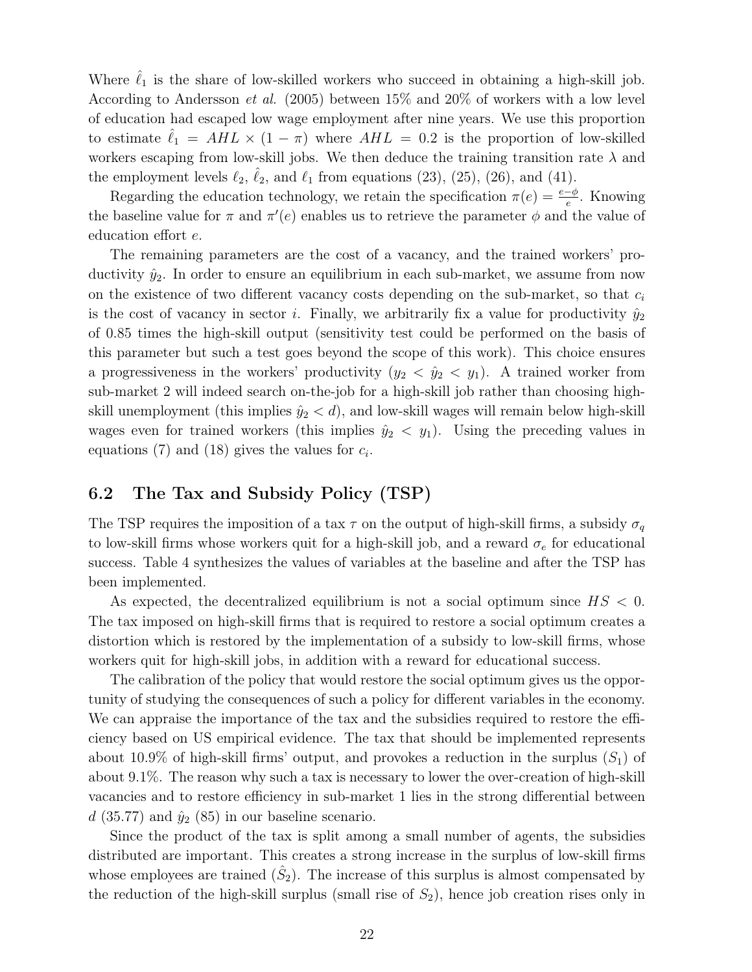Where  $\ell_1$  is the share of low-skilled workers who succeed in obtaining a high-skill job. According to Andersson et al. (2005) between 15% and 20% of workers with a low level of education had escaped low wage employment after nine years. We use this proportion to estimate  $\ell_1 = AHL \times (1 - \pi)$  where  $AHL = 0.2$  is the proportion of low-skilled workers escaping from low-skill jobs. We then deduce the training transition rate  $\lambda$  and the employment levels  $\ell_2$ ,  $\hat{\ell}_2$ , and  $\ell_1$  from equations (23), (25), (26), and (41).

Regarding the education technology, we retain the specification  $\pi(e) = \frac{e - \phi}{e}$ . Knowing the baseline value for  $\pi$  and  $\pi'(e)$  enables us to retrieve the parameter  $\phi$  and the value of education effort e.

The remaining parameters are the cost of a vacancy, and the trained workers' productivity  $\hat{y}_2$ . In order to ensure an equilibrium in each sub-market, we assume from now on the existence of two different vacancy costs depending on the sub-market, so that  $c_i$ is the cost of vacancy in sector i. Finally, we arbitrarily fix a value for productivity  $\hat{y}_2$ of 0.85 times the high-skill output (sensitivity test could be performed on the basis of this parameter but such a test goes beyond the scope of this work). This choice ensures a progressiveness in the workers' productivity  $(y_2 < \hat{y}_2 < y_1)$ . A trained worker from sub-market 2 will indeed search on-the-job for a high-skill job rather than choosing highskill unemployment (this implies  $\hat{y}_2 < d$ ), and low-skill wages will remain below high-skill wages even for trained workers (this implies  $\hat{y}_2 \langle y_1 \rangle$ ). Using the preceding values in equations (7) and (18) gives the values for  $c_i$ .

### 6.2 The Tax and Subsidy Policy (TSP)

The TSP requires the imposition of a tax  $\tau$  on the output of high-skill firms, a subsidy  $\sigma_q$ to low-skill firms whose workers quit for a high-skill job, and a reward  $\sigma_e$  for educational success. Table 4 synthesizes the values of variables at the baseline and after the TSP has been implemented.

As expected, the decentralized equilibrium is not a social optimum since  $HS < 0$ . The tax imposed on high-skill firms that is required to restore a social optimum creates a distortion which is restored by the implementation of a subsidy to low-skill firms, whose workers quit for high-skill jobs, in addition with a reward for educational success.

The calibration of the policy that would restore the social optimum gives us the opportunity of studying the consequences of such a policy for different variables in the economy. We can appraise the importance of the tax and the subsidies required to restore the efficiency based on US empirical evidence. The tax that should be implemented represents about 10.9% of high-skill firms' output, and provokes a reduction in the surplus  $(S_1)$  of about 9.1%. The reason why such a tax is necessary to lower the over-creation of high-skill vacancies and to restore efficiency in sub-market 1 lies in the strong differential between d (35.77) and  $\hat{y}_2$  (85) in our baseline scenario.

Since the product of the tax is split among a small number of agents, the subsidies distributed are important. This creates a strong increase in the surplus of low-skill firms whose employees are trained  $(\hat{S}_2)$ . The increase of this surplus is almost compensated by the reduction of the high-skill surplus (small rise of  $S_2$ ), hence job creation rises only in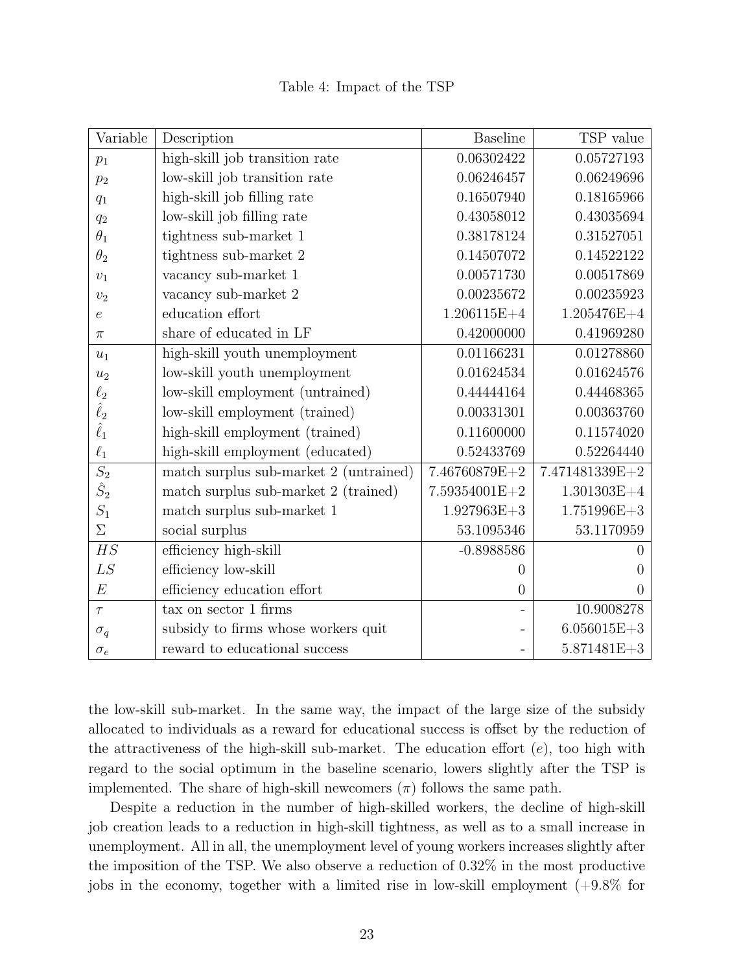| Variable         | Description                            | <b>Baseline</b> | TSP value       |
|------------------|----------------------------------------|-----------------|-----------------|
| $p_1$            | high-skill job transition rate         | 0.06302422      | 0.05727193      |
| $p_2$            | low-skill job transition rate          | 0.06246457      | 0.06249696      |
| $q_1$            | high-skill job filling rate            | 0.16507940      | 0.18165966      |
| $q_2$            | low-skill job filling rate             | 0.43058012      | 0.43035694      |
| $\theta_1$       | tightness sub-market 1                 | 0.38178124      | 0.31527051      |
| $\theta_2$       | tightness sub-market 2                 | 0.14507072      | 0.14522122      |
| $\upsilon_1$     | vacancy sub-market 1                   | 0.00571730      | 0.00517869      |
| $v_2$            | vacancy sub-market 2                   | 0.00235672      | 0.00235923      |
| $\epsilon$       | education effort                       | $1.206115E+4$   | $1.205476E+4$   |
| $\pi$            | share of educated in LF                | 0.42000000      | 0.41969280      |
| $u_1$            | high-skill youth unemployment          | 0.01166231      | 0.01278860      |
| $u_2$            | low-skill youth unemployment           | 0.01624534      | 0.01624576      |
| $\ell_2$         | low-skill employment (untrained)       | 0.44444164      | 0.44468365      |
| $\hat{\ell}_2$   | low-skill employment (trained)         | 0.00331301      | 0.00363760      |
| $\hat{\ell}_1$   | high-skill employment (trained)        | 0.11600000      | 0.11574020      |
| $\ell_1$         | high-skill employment (educated)       | 0.52433769      | 0.52264440      |
| $\overline{S_2}$ | match surplus sub-market 2 (untrained) | 7.46760879E+2   | 7.471481339E+2  |
| $\hat{S}_2$      | match surplus sub-market 2 (trained)   | 7.59354001E+2   | $1.301303E+4$   |
| $\mathcal{S}_1$  | match surplus sub-market 1             | $1.927963E + 3$ | $1.751996E+3$   |
| $\Sigma$         | social surplus                         | 53.1095346      | 53.1170959      |
| HS               | efficiency high-skill                  | $-0.8988586$    | $\overline{0}$  |
| LS               | efficiency low-skill                   | 0               | $\theta$        |
| E                | efficiency education effort            | $\overline{0}$  | $\overline{0}$  |
| $\tau$           | tax on sector 1 firms                  |                 | 10.9008278      |
| $\sigma_q$       | subsidy to firms whose workers quit    |                 | $6.056015E + 3$ |
| $\sigma_e$       | reward to educational success          |                 | 5.871481E+3     |

Table 4: Impact of the TSP

the low-skill sub-market. In the same way, the impact of the large size of the subsidy allocated to individuals as a reward for educational success is offset by the reduction of the attractiveness of the high-skill sub-market. The education effort  $(e)$ , too high with regard to the social optimum in the baseline scenario, lowers slightly after the TSP is implemented. The share of high-skill newcomers  $(\pi)$  follows the same path.

Despite a reduction in the number of high-skilled workers, the decline of high-skill job creation leads to a reduction in high-skill tightness, as well as to a small increase in unemployment. All in all, the unemployment level of young workers increases slightly after the imposition of the TSP. We also observe a reduction of 0.32% in the most productive jobs in the economy, together with a limited rise in low-skill employment (+9.8% for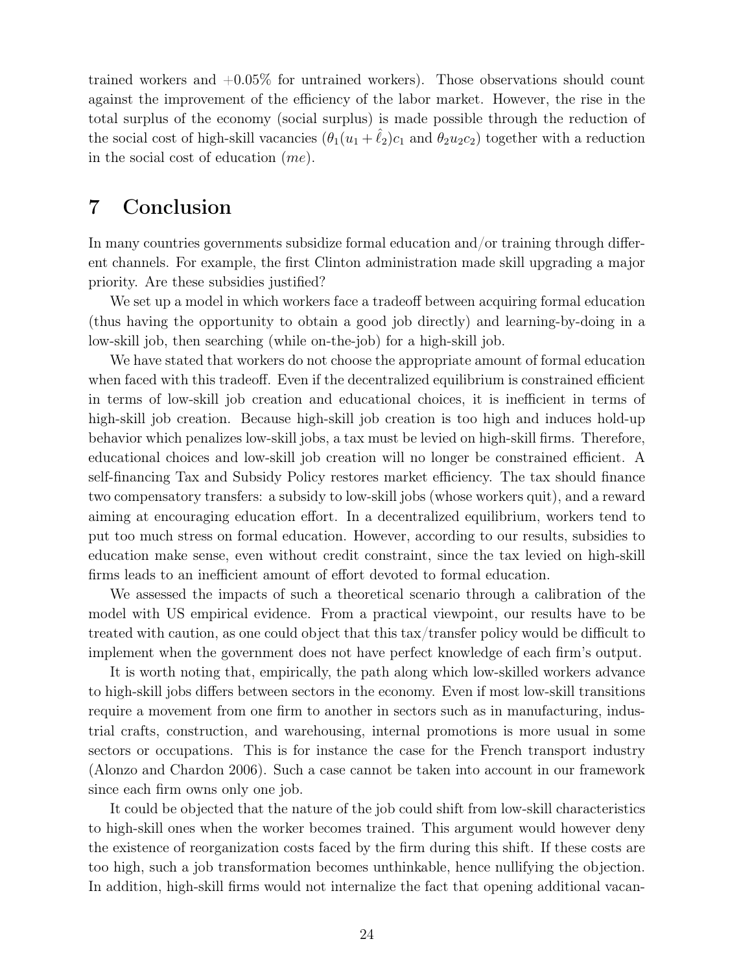trained workers and  $+0.05\%$  for untrained workers). Those observations should count against the improvement of the efficiency of the labor market. However, the rise in the total surplus of the economy (social surplus) is made possible through the reduction of the social cost of high-skill vacancies  $(\theta_1(u_1 + \hat{\ell}_2)c_1$  and  $\theta_2u_2c_2)$  together with a reduction in the social cost of education (me).

### 7 Conclusion

In many countries governments subsidize formal education and/or training through different channels. For example, the first Clinton administration made skill upgrading a major priority. Are these subsidies justified?

We set up a model in which workers face a tradeoff between acquiring formal education (thus having the opportunity to obtain a good job directly) and learning-by-doing in a low-skill job, then searching (while on-the-job) for a high-skill job.

We have stated that workers do not choose the appropriate amount of formal education when faced with this tradeoff. Even if the decentralized equilibrium is constrained efficient in terms of low-skill job creation and educational choices, it is inefficient in terms of high-skill job creation. Because high-skill job creation is too high and induces hold-up behavior which penalizes low-skill jobs, a tax must be levied on high-skill firms. Therefore, educational choices and low-skill job creation will no longer be constrained efficient. A self-financing Tax and Subsidy Policy restores market efficiency. The tax should finance two compensatory transfers: a subsidy to low-skill jobs (whose workers quit), and a reward aiming at encouraging education effort. In a decentralized equilibrium, workers tend to put too much stress on formal education. However, according to our results, subsidies to education make sense, even without credit constraint, since the tax levied on high-skill firms leads to an inefficient amount of effort devoted to formal education.

We assessed the impacts of such a theoretical scenario through a calibration of the model with US empirical evidence. From a practical viewpoint, our results have to be treated with caution, as one could object that this tax/transfer policy would be difficult to implement when the government does not have perfect knowledge of each firm's output.

It is worth noting that, empirically, the path along which low-skilled workers advance to high-skill jobs differs between sectors in the economy. Even if most low-skill transitions require a movement from one firm to another in sectors such as in manufacturing, industrial crafts, construction, and warehousing, internal promotions is more usual in some sectors or occupations. This is for instance the case for the French transport industry (Alonzo and Chardon 2006). Such a case cannot be taken into account in our framework since each firm owns only one job.

It could be objected that the nature of the job could shift from low-skill characteristics to high-skill ones when the worker becomes trained. This argument would however deny the existence of reorganization costs faced by the firm during this shift. If these costs are too high, such a job transformation becomes unthinkable, hence nullifying the objection. In addition, high-skill firms would not internalize the fact that opening additional vacan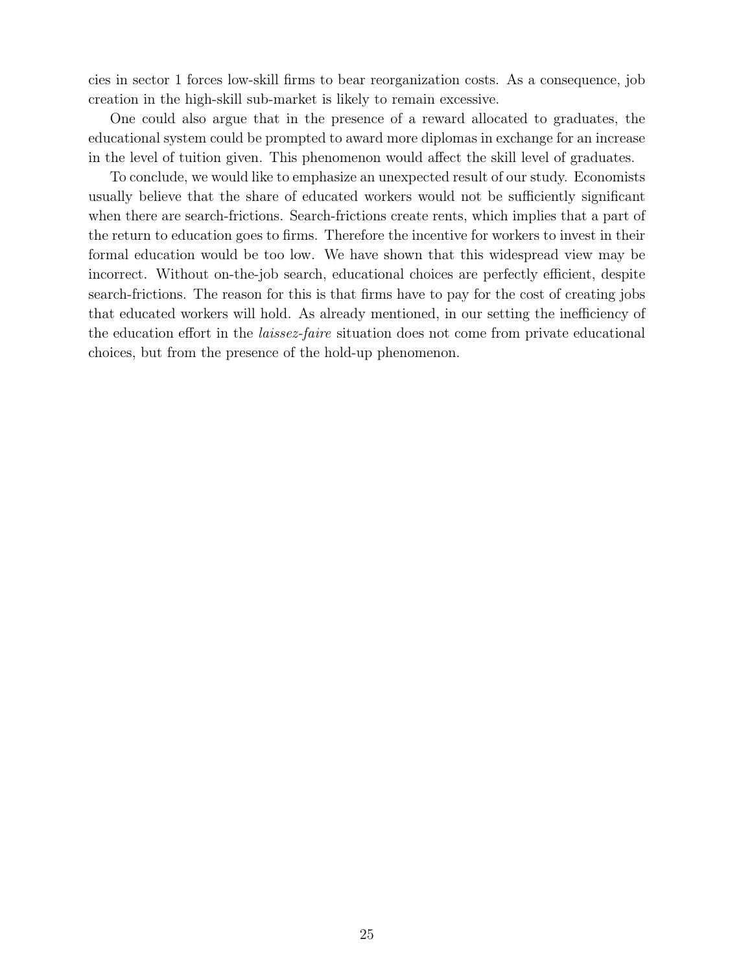cies in sector 1 forces low-skill firms to bear reorganization costs. As a consequence, job creation in the high-skill sub-market is likely to remain excessive.

One could also argue that in the presence of a reward allocated to graduates, the educational system could be prompted to award more diplomas in exchange for an increase in the level of tuition given. This phenomenon would affect the skill level of graduates.

To conclude, we would like to emphasize an unexpected result of our study. Economists usually believe that the share of educated workers would not be sufficiently significant when there are search-frictions. Search-frictions create rents, which implies that a part of the return to education goes to firms. Therefore the incentive for workers to invest in their formal education would be too low. We have shown that this widespread view may be incorrect. Without on-the-job search, educational choices are perfectly efficient, despite search-frictions. The reason for this is that firms have to pay for the cost of creating jobs that educated workers will hold. As already mentioned, in our setting the inefficiency of the education effort in the laissez-faire situation does not come from private educational choices, but from the presence of the hold-up phenomenon.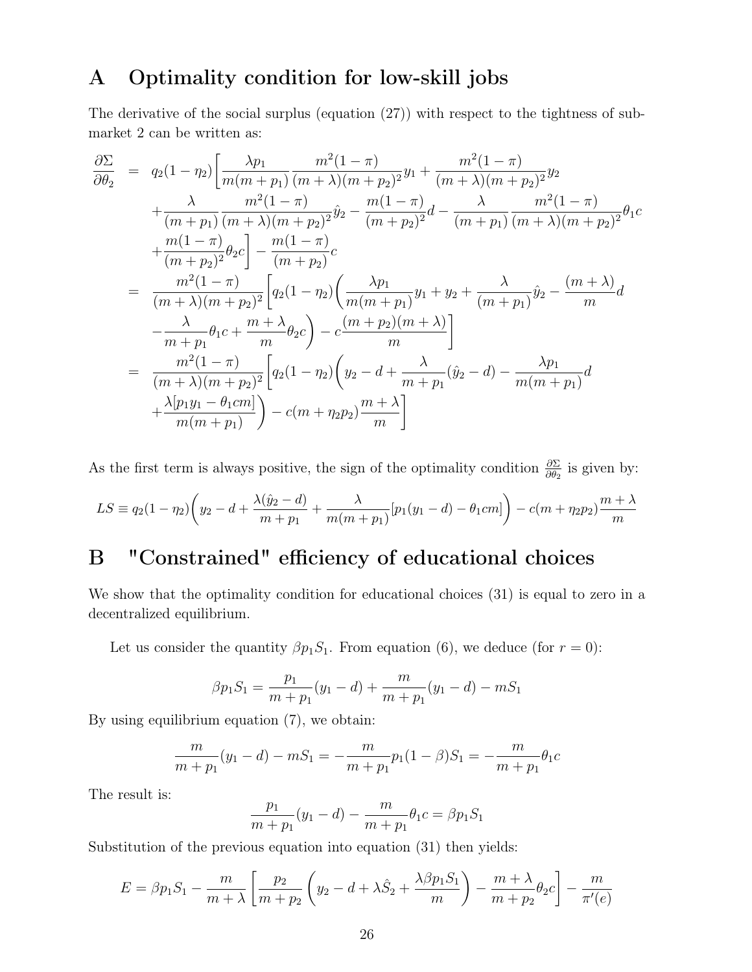### A Optimality condition for low-skill jobs

The derivative of the social surplus (equation (27)) with respect to the tightness of submarket 2 can be written as:

$$
\frac{\partial \Sigma}{\partial \theta_2} = q_2(1 - \eta_2) \left[ \frac{\lambda p_1}{m(m + p_1)} \frac{m^2(1 - \pi)}{(m + \lambda)(m + p_2)^2} y_1 + \frac{m^2(1 - \pi)}{(m + \lambda)(m + p_2)^2} y_2 + \frac{\lambda}{(m + p_1)} \frac{m^2(1 - \pi)}{(m + \lambda)(m + p_2)^2} \hat{y}_2 - \frac{m(1 - \pi)}{(m + p_2)^2} d - \frac{\lambda}{(m + p_1)} \frac{m^2(1 - \pi)}{(m + \lambda)(m + p_2)^2} \theta_1 c + \frac{m(1 - \pi)}{(m + p_2)^2} \theta_2 c \right] - \frac{m(1 - \pi)}{(m + p_2)} c
$$
\n
$$
= \frac{m^2(1 - \pi)}{(m + \lambda)(m + p_2)^2} \left[ q_2(1 - \eta_2) \left( \frac{\lambda p_1}{m(m + p_1)} y_1 + y_2 + \frac{\lambda}{(m + p_1)} \hat{y}_2 - \frac{(m + \lambda)}{m} d - \frac{\lambda}{m + p_1} \theta_1 c + \frac{m + \lambda}{m} \theta_2 c \right) - c \frac{(m + p_2)(m + \lambda)}{m} \right]
$$
\n
$$
= \frac{m^2(1 - \pi)}{(m + \lambda)(m + p_2)^2} \left[ q_2(1 - \eta_2) \left( y_2 - d + \frac{\lambda}{m + p_1} (\hat{y}_2 - d) - \frac{\lambda p_1}{m(m + p_1)} d + \frac{\lambda [p_1 y_1 - \theta_1 c m]}{m(m + p_1)} \right) - c(m + \eta_2 p_2) \frac{m + \lambda}{m} \right]
$$

As the first term is always positive, the sign of the optimality condition  $\frac{\partial \Sigma}{\partial \theta_2}$  is given by:

$$
LS = q_2(1 - \eta_2) \left( y_2 - d + \frac{\lambda(\hat{y}_2 - d)}{m + p_1} + \frac{\lambda}{m(m + p_1)} [p_1(y_1 - d) - \theta_1 cm] \right) - c(m + \eta_2 p_2) \frac{m + \lambda}{m}
$$

# B "Constrained" efficiency of educational choices

We show that the optimality condition for educational choices (31) is equal to zero in a decentralized equilibrium.

Let us consider the quantity  $\beta p_1 S_1$ . From equation (6), we deduce (for  $r = 0$ ):

$$
\beta p_1 S_1 = \frac{p_1}{m+p_1}(y_1 - d) + \frac{m}{m+p_1}(y_1 - d) - mS_1
$$

By using equilibrium equation (7), we obtain:

$$
\frac{m}{m+p_1}(y_1-d) - mS_1 = -\frac{m}{m+p_1}p_1(1-\beta)S_1 = -\frac{m}{m+p_1}\theta_1C
$$

The result is:

$$
\frac{p_1}{m+p_1}(y_1-d) - \frac{m}{m+p_1}\theta_1 c = \beta p_1 S_1
$$

Substitution of the previous equation into equation (31) then yields:

$$
E = \beta p_1 S_1 - \frac{m}{m + \lambda} \left[ \frac{p_2}{m + p_2} \left( y_2 - d + \lambda \hat{S}_2 + \frac{\lambda \beta p_1 S_1}{m} \right) - \frac{m + \lambda}{m + p_2} \theta_2 c \right] - \frac{m}{\pi'(e)}
$$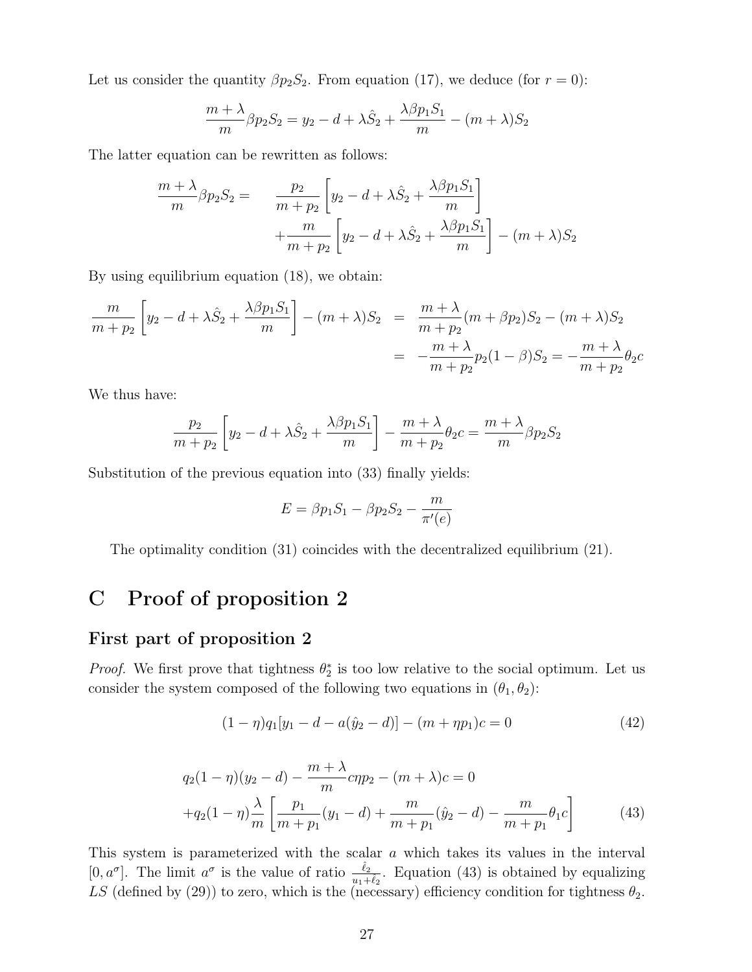Let us consider the quantity  $\beta p_2 S_2$ . From equation (17), we deduce (for  $r = 0$ ):

$$
\frac{m+\lambda}{m}\beta p_2S_2 = y_2 - d + \lambda \hat{S}_2 + \frac{\lambda \beta p_1 S_1}{m} - (m+\lambda)S_2
$$

The latter equation can be rewritten as follows:

$$
\frac{m+\lambda}{m}\beta p_2 S_2 = \frac{p_2}{m+p_2} \left[ y_2 - d + \lambda \hat{S}_2 + \frac{\lambda \beta p_1 S_1}{m} \right] + \frac{m}{m+p_2} \left[ y_2 - d + \lambda \hat{S}_2 + \frac{\lambda \beta p_1 S_1}{m} \right] - (m+\lambda)S_2
$$

By using equilibrium equation (18), we obtain:

$$
\frac{m}{m+p_2} \left[ y_2 - d + \lambda \hat{S}_2 + \frac{\lambda \beta p_1 S_1}{m} \right] - (m+\lambda)S_2 = \frac{m+\lambda}{m+p_2}(m+\beta p_2)S_2 - (m+\lambda)S_2
$$
  
= 
$$
-\frac{m+\lambda}{m+p_2}p_2(1-\beta)S_2 = -\frac{m+\lambda}{m+p_2}\theta_2c
$$

We thus have:

$$
\frac{p_2}{m+p_2} \left[ y_2 - d + \lambda \hat{S}_2 + \frac{\lambda \beta p_1 S_1}{m} \right] - \frac{m+\lambda}{m+p_2} \theta_2 c = \frac{m+\lambda}{m} \beta p_2 S_2
$$

Substitution of the previous equation into (33) finally yields:

$$
E = \beta p_1 S_1 - \beta p_2 S_2 - \frac{m}{\pi'(e)}
$$

The optimality condition (31) coincides with the decentralized equilibrium (21).

### C Proof of proposition 2

### First part of proposition 2

*Proof.* We first prove that tightness  $\theta_2^*$  is too low relative to the social optimum. Let us consider the system composed of the following two equations in  $(\theta_1, \theta_2)$ :

$$
(1 - \eta)q_1[y_1 - d - a(\hat{y}_2 - d)] - (m + \eta p_1)c = 0
$$
\n(42)

$$
q_2(1 - \eta)(y_2 - d) - \frac{m + \lambda}{m}c\eta p_2 - (m + \lambda)c = 0
$$
  
+
$$
q_2(1 - \eta)\frac{\lambda}{m}\left[\frac{p_1}{m + p_1}(y_1 - d) + \frac{m}{m + p_1}(\hat{y}_2 - d) - \frac{m}{m + p_1}\theta_1c\right]
$$
(43)

This system is parameterized with the scalar a which takes its values in the interval  $[0, a^{\sigma}]$ . The limit  $a^{\sigma}$  is the value of ratio  $\frac{\hat{\ell}_2}{u_1+\hat{\ell}_2}$ . Equation (43) is obtained by equalizing LS (defined by (29)) to zero, which is the (necessary) efficiency condition for tightness  $\theta_2$ .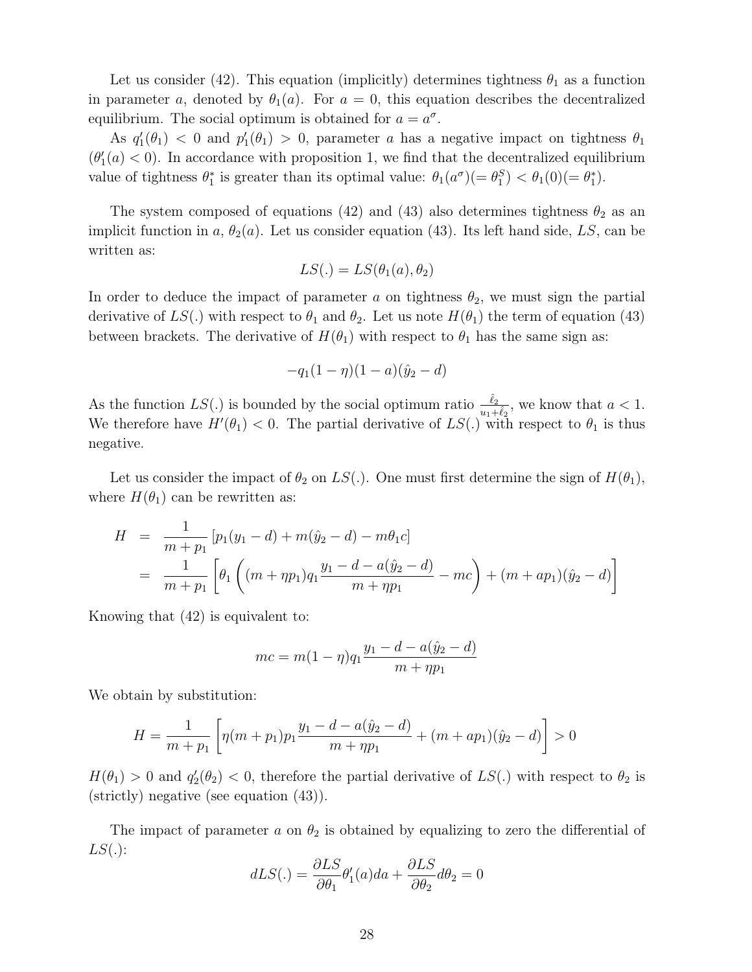Let us consider (42). This equation (implicitly) determines tightness  $\theta_1$  as a function in parameter a, denoted by  $\theta_1(a)$ . For  $a = 0$ , this equation describes the decentralized equilibrium. The social optimum is obtained for  $a = a^{\sigma}$ .

As  $q'_1(\theta_1) < 0$  and  $p'_1(\theta_1) > 0$ , parameter a has a negative impact on tightness  $\theta_1$  $(\theta_1'(a) < 0)$ . In accordance with proposition 1, we find that the decentralized equilibrium value of tightness  $\theta_1^*$  is greater than its optimal value:  $\theta_1(a^{\sigma})(=\theta_1^S) < \theta_1(0)(=\theta_1^*)$ .

The system composed of equations (42) and (43) also determines tightness  $\theta_2$  as an implicit function in a,  $\theta_2(a)$ . Let us consider equation (43). Its left hand side, LS, can be written as:

$$
LS(.) = LS(\theta_1(a), \theta_2)
$$

In order to deduce the impact of parameter a on tightness  $\theta_2$ , we must sign the partial derivative of  $LS(.)$  with respect to  $\theta_1$  and  $\theta_2$ . Let us note  $H(\theta_1)$  the term of equation (43) between brackets. The derivative of  $H(\theta_1)$  with respect to  $\theta_1$  has the same sign as:

$$
-q_1(1-\eta)(1-a)(\hat{y}_2-d)
$$

As the function  $LS(.)$  is bounded by the social optimum ratio  $\frac{\hat{\ell}_2}{u_1+\hat{\ell}_2}$ , we know that  $a < 1$ . We therefore have  $H'(\theta_1) < 0$ . The partial derivative of  $LS(.)$  with respect to  $\theta_1$  is thus negative.

Let us consider the impact of  $\theta_2$  on  $LS(.)$ . One must first determine the sign of  $H(\theta_1)$ , where  $H(\theta_1)$  can be rewritten as:

$$
H = \frac{1}{m+p_1} [p_1(y_1 - d) + m(\hat{y}_2 - d) - m\theta_1 c]
$$
  
= 
$$
\frac{1}{m+p_1} \left[ \theta_1 \left( (m+p_1)q_1 \frac{y_1 - d - a(\hat{y}_2 - d)}{m+p_1} - mc \right) + (m+ap_1)(\hat{y}_2 - d) \right]
$$

Knowing that (42) is equivalent to:

$$
mc = m(1 - \eta)q_1 \frac{y_1 - d - a(\hat{y}_2 - d)}{m + \eta p_1}
$$

We obtain by substitution:

$$
H = \frac{1}{m+p_1} \left[ \eta(m+p_1)p_1 \frac{y_1 - d - a(\hat{y}_2 - d)}{m + \eta p_1} + (m + ap_1)(\hat{y}_2 - d) \right] > 0
$$

 $H(\theta_1) > 0$  and  $q_2'(\theta_2) < 0$ , therefore the partial derivative of  $LS(.)$  with respect to  $\theta_2$  is (strictly) negative (see equation (43)).

The impact of parameter a on  $\theta_2$  is obtained by equalizing to zero the differential of  $LS(.)$ :

$$
dLS(.) = \frac{\partial LS}{\partial \theta_1} \theta'_1(a)da + \frac{\partial LS}{\partial \theta_2} d\theta_2 = 0
$$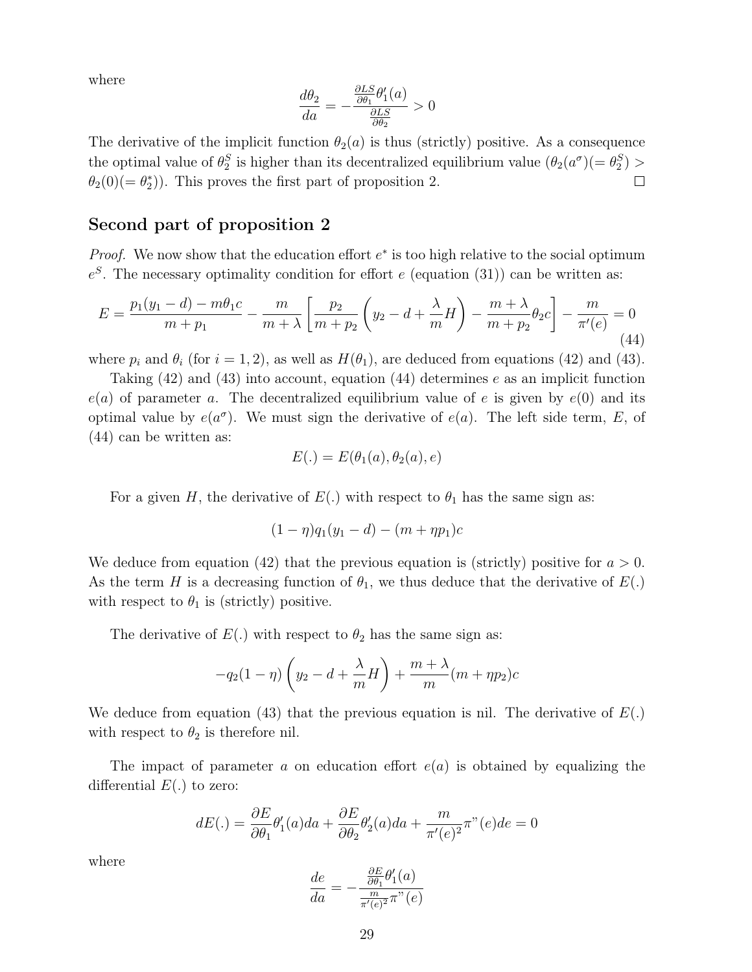where

$$
\frac{d\theta_2}{da} = -\frac{\frac{\partial LS}{\partial \theta_1} \theta'_1(a)}{\frac{\partial LS}{\partial \theta_2}} > 0
$$

The derivative of the implicit function  $\theta_2(a)$  is thus (strictly) positive. As a consequence the optimal value of  $\theta_2^S$  is higher than its decentralized equilibrium value  $(\theta_2(a^{\sigma})(=\theta_2^S) >$  $\theta_2(0) (= \theta_2^*)$ . This proves the first part of proposition 2.  $\Box$ 

### Second part of proposition 2

*Proof.* We now show that the education effort  $e^*$  is too high relative to the social optimum  $e^{S}$ . The necessary optimality condition for effort e (equation (31)) can be written as:

$$
E = \frac{p_1(y_1 - d) - m\theta_1 c}{m + p_1} - \frac{m}{m + \lambda} \left[ \frac{p_2}{m + p_2} \left( y_2 - d + \frac{\lambda}{m} H \right) - \frac{m + \lambda}{m + p_2} \theta_2 c \right] - \frac{m}{\pi'(e)} = 0
$$
\n(44)

where  $p_i$  and  $\theta_i$  (for  $i = 1, 2$ ), as well as  $H(\theta_1)$ , are deduced from equations (42) and (43).

Taking  $(42)$  and  $(43)$  into account, equation  $(44)$  determines e as an implicit function  $e(a)$  of parameter a. The decentralized equilibrium value of e is given by  $e(0)$  and its optimal value by  $e(a^{\sigma})$ . We must sign the derivative of  $e(a)$ . The left side term, E, of (44) can be written as:

$$
E(.) = E(\theta_1(a), \theta_2(a), e)
$$

For a given H, the derivative of  $E(.)$  with respect to  $\theta_1$  has the same sign as:

$$
(1 - \eta)q_1(y_1 - d) - (m + \eta p_1)c
$$

We deduce from equation (42) that the previous equation is (strictly) positive for  $a > 0$ . As the term H is a decreasing function of  $\theta_1$ , we thus deduce that the derivative of  $E(.)$ with respect to  $\theta_1$  is (strictly) positive.

The derivative of  $E(.)$  with respect to  $\theta_2$  has the same sign as:

$$
-q_2(1-\eta)\left(y_2-d+\frac{\lambda}{m}H\right)+\frac{m+\lambda}{m}(m+\eta p_2)c
$$

We deduce from equation (43) that the previous equation is nil. The derivative of  $E(.)$ with respect to  $\theta_2$  is therefore nil.

The impact of parameter a on education effort  $e(a)$  is obtained by equalizing the differential  $E(.)$  to zero:

$$
dE(.) = \frac{\partial E}{\partial \theta_1} \theta_1'(a)da + \frac{\partial E}{\partial \theta_2} \theta_2'(a)da + \frac{m}{\pi'(e)^2} \pi''(e)de = 0
$$

where

$$
\frac{de}{da} = -\frac{\frac{\partial E}{\partial \theta_1} \theta_1'(a)}{\frac{m}{\pi'(e)^2} \pi''(e)}
$$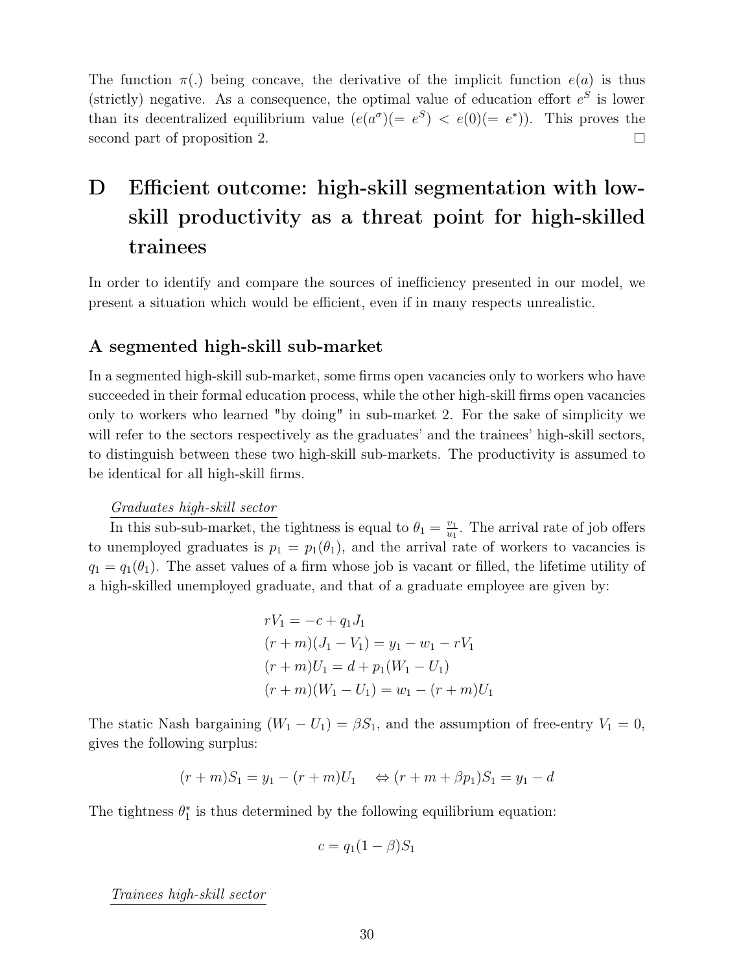The function  $\pi(.)$  being concave, the derivative of the implicit function  $e(a)$  is thus (strictly) negative. As a consequence, the optimal value of education effort  $e^S$  is lower than its decentralized equilibrium value  $(e(a^{\sigma})(=e^S) < e(0)(=e^*))$ . This proves the second part of proposition 2.  $\Box$ 

# D Efficient outcome: high-skill segmentation with lowskill productivity as a threat point for high-skilled trainees

In order to identify and compare the sources of inefficiency presented in our model, we present a situation which would be efficient, even if in many respects unrealistic.

### A segmented high-skill sub-market

In a segmented high-skill sub-market, some firms open vacancies only to workers who have succeeded in their formal education process, while the other high-skill firms open vacancies only to workers who learned "by doing" in sub-market 2. For the sake of simplicity we will refer to the sectors respectively as the graduates' and the trainees' high-skill sectors, to distinguish between these two high-skill sub-markets. The productivity is assumed to be identical for all high-skill firms.

#### Graduates high-skill sector

In this sub-sub-market, the tightness is equal to  $\theta_1 = \frac{v_1}{u_1}$  $\frac{v_1}{u_1}$ . The arrival rate of job offers to unemployed graduates is  $p_1 = p_1(\theta_1)$ , and the arrival rate of workers to vacancies is  $q_1 = q_1(\theta_1)$ . The asset values of a firm whose job is vacant or filled, the lifetime utility of a high-skilled unemployed graduate, and that of a graduate employee are given by:

$$
rV_1 = -c + q_1 J_1
$$
  
\n
$$
(r+m)(J_1 - V_1) = y_1 - w_1 - rV_1
$$
  
\n
$$
(r+m)U_1 = d + p_1(W_1 - U_1)
$$
  
\n
$$
(r+m)(W_1 - U_1) = w_1 - (r+m)U_1
$$

The static Nash bargaining  $(W_1 - U_1) = \beta S_1$ , and the assumption of free-entry  $V_1 = 0$ , gives the following surplus:

$$
(r+m)S_1 = y_1 - (r+m)U_1 \Leftrightarrow (r+m+\beta p_1)S_1 = y_1 - d
$$

The tightness  $\theta_1^*$  is thus determined by the following equilibrium equation:

$$
c = q_1(1 - \beta)S_1
$$

Trainees high-skill sector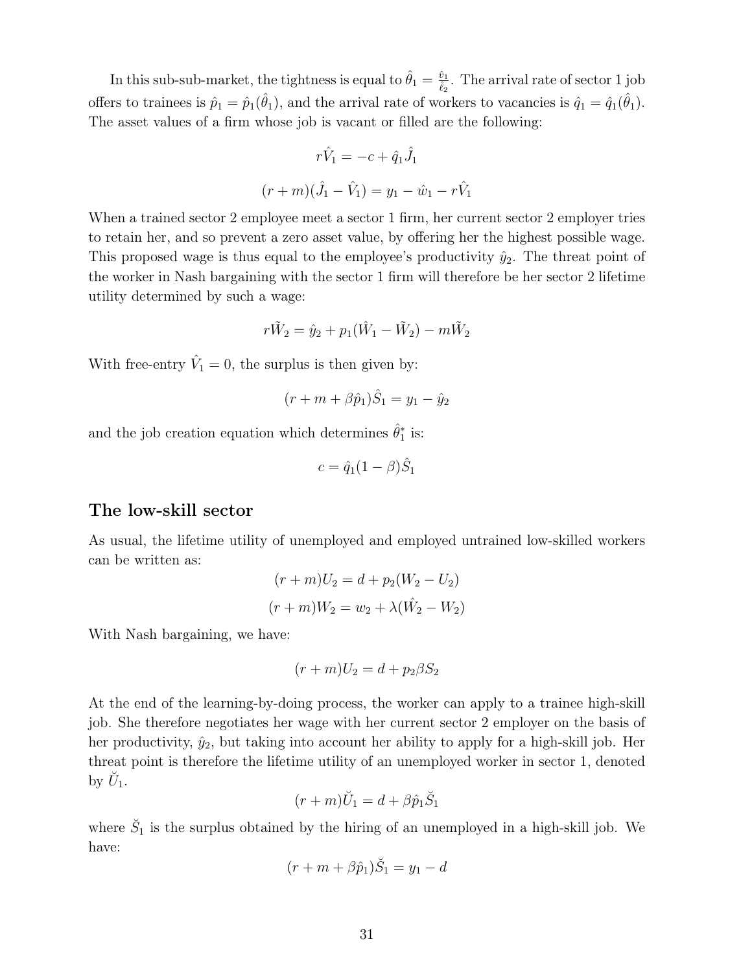In this sub-sub-market, the tightness is equal to  $\hat{\theta}_1 = \frac{\hat{v}_1}{\hat{v}_2}$  $\frac{\dot{v}_1}{\hat{\ell}_2}$ . The arrival rate of sector 1 job offers to trainees is  $\hat{p}_1 = \hat{p}_1(\hat{\theta}_1)$ , and the arrival rate of workers to vacancies is  $\hat{q}_1 = \hat{q}_1(\hat{\theta}_1)$ . The asset values of a firm whose job is vacant or filled are the following:

$$
r\hat{V}_1 = -c + \hat{q}_1 \hat{J}_1
$$

$$
(r+m)(\hat{J}_1 - \hat{V}_1) = y_1 - \hat{w}_1 - r\hat{V}_1
$$

When a trained sector 2 employee meet a sector 1 firm, her current sector 2 employer tries to retain her, and so prevent a zero asset value, by offering her the highest possible wage. This proposed wage is thus equal to the employee's productivity  $\hat{y}_2$ . The threat point of the worker in Nash bargaining with the sector 1 firm will therefore be her sector 2 lifetime utility determined by such a wage:

$$
r\tilde{W}_2 = \hat{y}_2 + p_1(\hat{W}_1 - \tilde{W}_2) - m\tilde{W}_2
$$

With free-entry  $\hat{V}_1 = 0$ , the surplus is then given by:

$$
(r + m + \beta \hat{p}_1)\hat{S}_1 = y_1 - \hat{y}_2
$$

and the job creation equation which determines  $\hat{\theta}_1^*$  is:

$$
c = \hat{q}_1(1-\beta)\hat{S}_1
$$

#### The low-skill sector

As usual, the lifetime utility of unemployed and employed untrained low-skilled workers can be written as:

$$
(r+m)U_2 = d + p_2(W_2 - U_2)
$$

$$
(r+m)W_2 = w_2 + \lambda(\hat{W}_2 - W_2)
$$

With Nash bargaining, we have:

$$
(r+m)U_2 = d + p_2 \beta S_2
$$

At the end of the learning-by-doing process, the worker can apply to a trainee high-skill job. She therefore negotiates her wage with her current sector 2 employer on the basis of her productivity,  $\hat{y}_2$ , but taking into account her ability to apply for a high-skill job. Her threat point is therefore the lifetime utility of an unemployed worker in sector 1, denoted by  $\check{U}_1$ .

$$
(r+m)\breve{U}_1 = d + \beta \hat{p}_1 \breve{S}_1
$$

where  $\check{S}_1$  is the surplus obtained by the hiring of an unemployed in a high-skill job. We have:

$$
(r+m+\beta \hat{p}_1)\check{S}_1=y_1-d
$$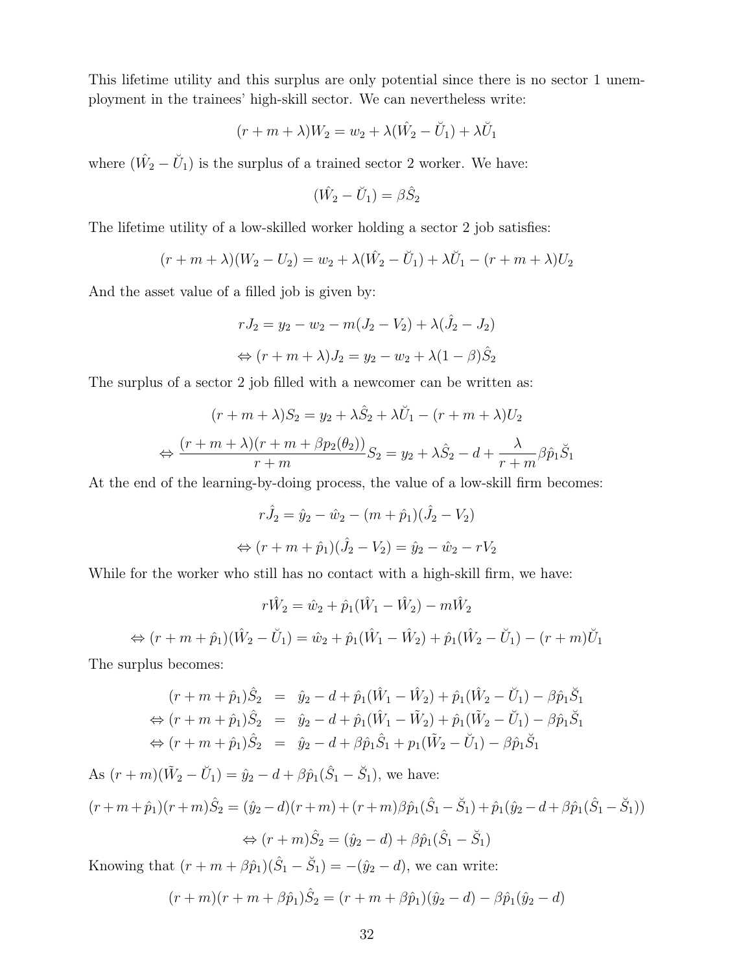This lifetime utility and this surplus are only potential since there is no sector 1 unemployment in the trainees' high-skill sector. We can nevertheless write:

$$
(r+m+\lambda)W_2 = w_2 + \lambda(\hat{W_2} - \check{U}_1) + \lambda \check{U}_1
$$

where  $(\hat{W}_2 - \check{U}_1)$  is the surplus of a trained sector 2 worker. We have:

$$
(\hat{W}_2 - \breve{U}_1) = \beta \hat{S}_2
$$

The lifetime utility of a low-skilled worker holding a sector 2 job satisfies:

$$
(r + m + \lambda)(W_2 - U_2) = w_2 + \lambda(\hat{W}_2 - \check{U}_1) + \lambda \check{U}_1 - (r + m + \lambda)U_2
$$

And the asset value of a filled job is given by:

$$
rJ_2 = y_2 - w_2 - m(J_2 - V_2) + \lambda(\hat{J}_2 - J_2)
$$
  
\n
$$
\Leftrightarrow (r + m + \lambda)J_2 = y_2 - w_2 + \lambda(1 - \beta)\hat{S}_2
$$

The surplus of a sector 2 job filled with a newcomer can be written as:

$$
(r + m + \lambda)S_2 = y_2 + \lambda \hat{S}_2 + \lambda \check{U}_1 - (r + m + \lambda)U_2
$$
  

$$
\Leftrightarrow \frac{(r + m + \lambda)(r + m + \beta p_2(\theta_2))}{r + m} S_2 = y_2 + \lambda \hat{S}_2 - d + \frac{\lambda}{r + m} \beta \hat{p}_1 \check{S}_1
$$

At the end of the learning-by-doing process, the value of a low-skill firm becomes:

$$
r\hat{J}_2 = \hat{y}_2 - \hat{w}_2 - (m + \hat{p}_1)(\hat{J}_2 - V_2)
$$
  
\n
$$
\Leftrightarrow (r + m + \hat{p}_1)(\hat{J}_2 - V_2) = \hat{y}_2 - \hat{w}_2 - rV_2
$$

While for the worker who still has no contact with a high-skill firm, we have:

$$
r\hat{W}_2 = \hat{w}_2 + \hat{p}_1(\hat{W}_1 - \hat{W}_2) - m\hat{W}_2
$$
  
\n
$$
\Leftrightarrow (r + m + \hat{p}_1)(\hat{W}_2 - \check{U}_1) = \hat{w}_2 + \hat{p}_1(\hat{W}_1 - \hat{W}_2) + \hat{p}_1(\hat{W}_2 - \check{U}_1) - (r + m)\check{U}_1
$$

The surplus becomes:

$$
(r + m + \hat{p}_1)\hat{S}_2 = \hat{y}_2 - d + \hat{p}_1(\hat{W}_1 - \hat{W}_2) + \hat{p}_1(\hat{W}_2 - \check{U}_1) - \beta \hat{p}_1 \check{S}_1
$$
  
\n
$$
\Leftrightarrow (r + m + \hat{p}_1)\hat{S}_2 = \hat{y}_2 - d + \hat{p}_1(\hat{W}_1 - \check{W}_2) + \hat{p}_1(\check{W}_2 - \check{U}_1) - \beta \hat{p}_1 \check{S}_1
$$
  
\n
$$
\Leftrightarrow (r + m + \hat{p}_1)\hat{S}_2 = \hat{y}_2 - d + \beta \hat{p}_1 \hat{S}_1 + p_1(\check{W}_2 - \check{U}_1) - \beta \hat{p}_1 \check{S}_1
$$

As  $(r+m)(\tilde{W}_2 - \tilde{U}_1) = \hat{y}_2 - d + \beta \hat{p}_1(\hat{S}_1 - \tilde{S}_1)$ , we have:  $(r+m+\hat{p}_1)(r+m)\hat{S}_2 = (\hat{y}_2-d)(r+m)+(r+m)\beta \hat{p}_1(\hat{S}_1-\check{S}_1)+\hat{p}_1(\hat{y}_2-d+\beta \hat{p}_1(\hat{S}_1-\check{S}_1))$  $\Leftrightarrow$   $(r+m)\hat{S}_2 = (\hat{y}_2 - d) + \beta \hat{p}_1(\hat{S}_1 - \check{S}_1)$ Knowing that  $(r + m + \beta \hat{p}_1)(\hat{S}_1 - \check{S}_1) = -(\hat{y}_2 - d)$ , we can write:

 $(r+m)(r+m+\beta \hat{p}_1)\hat{S}_2 = (r+m+\beta \hat{p}_1)(\hat{y}_2 - d) - \beta \hat{p}_1(\hat{y}_2 - d)$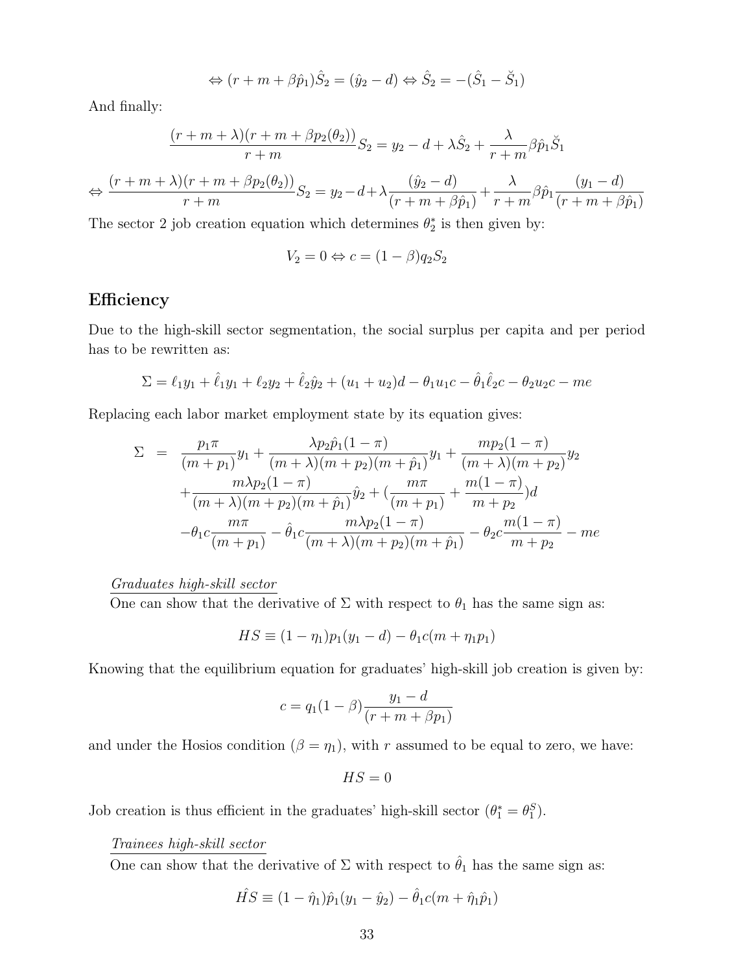$$
\Leftrightarrow (r+m+\beta\hat{p}_1)\hat{S}_2 = (\hat{y}_2 - d) \Leftrightarrow \hat{S}_2 = -(\hat{S}_1 - \check{S}_1)
$$

And finally:

$$
\frac{(r+m+\lambda)(r+m+\beta p_2(\theta_2))}{r+m}S_2 = y_2 - d + \lambda \hat{S}_2 + \frac{\lambda}{r+m} \beta \hat{p}_1 \check{S}_1
$$
  

$$
\Leftrightarrow \frac{(r+m+\lambda)(r+m+\beta p_2(\theta_2))}{r+m}S_2 = y_2 - d + \lambda \frac{(\hat{y}_2 - d)}{(r+m+\beta \hat{p}_1)} + \frac{\lambda}{r+m} \beta \hat{p}_1 \frac{(y_1 - d)}{(r+m+\beta \hat{p}_1)}
$$

The sector 2 job creation equation which determines  $\theta_2^*$  is then given by:

$$
V_2 = 0 \Leftrightarrow c = (1 - \beta)q_2S_2
$$

### Efficiency

Due to the high-skill sector segmentation, the social surplus per capita and per period has to be rewritten as:

$$
\Sigma = \ell_1 y_1 + \hat{\ell}_1 y_1 + \ell_2 y_2 + \hat{\ell}_2 \hat{y}_2 + (u_1 + u_2)d - \theta_1 u_1 c - \hat{\theta}_1 \hat{\ell}_2 c - \theta_2 u_2 c - me
$$

Replacing each labor market employment state by its equation gives:

$$
\Sigma = \frac{p_1 \pi}{(m+p_1)} y_1 + \frac{\lambda p_2 \hat{p}_1 (1-\pi)}{(m+\lambda)(m+p_2)(m+\hat{p}_1)} y_1 + \frac{m p_2 (1-\pi)}{(m+\lambda)(m+p_2)} y_2 \n+ \frac{m \lambda p_2 (1-\pi)}{(m+\lambda)(m+p_2)(m+\hat{p}_1)} \hat{y}_2 + (\frac{m \pi}{(m+p_1)} + \frac{m(1-\pi)}{m+p_2}) d \n- \theta_1 c \frac{m \pi}{(m+p_1)} - \hat{\theta}_1 c \frac{m \lambda p_2 (1-\pi)}{(m+\lambda)(m+p_2)(m+\hat{p}_1)} - \theta_2 c \frac{m(1-\pi)}{m+p_2} - me
$$

### Graduates high-skill sector

One can show that the derivative of  $\Sigma$  with respect to  $\theta_1$  has the same sign as:

$$
HS \equiv (1 - \eta_1)p_1(y_1 - d) - \theta_1c(m + \eta_1p_1)
$$

Knowing that the equilibrium equation for graduates' high-skill job creation is given by:

$$
c = q_1(1 - \beta) \frac{y_1 - d}{(r + m + \beta p_1)}
$$

and under the Hosios condition ( $\beta = \eta_1$ ), with r assumed to be equal to zero, we have:

$$
HS=0
$$

Job creation is thus efficient in the graduates' high-skill sector  $(\theta_1^* = \theta_1^S)$ .

#### Trainees high-skill sector

One can show that the derivative of  $\Sigma$  with respect to  $\hat{\theta}_1$  has the same sign as:

$$
\hat{HS} \equiv (1 - \hat{\eta}_1)\hat{p}_1(y_1 - \hat{y}_2) - \hat{\theta}_1 c(m + \hat{\eta}_1 \hat{p}_1)
$$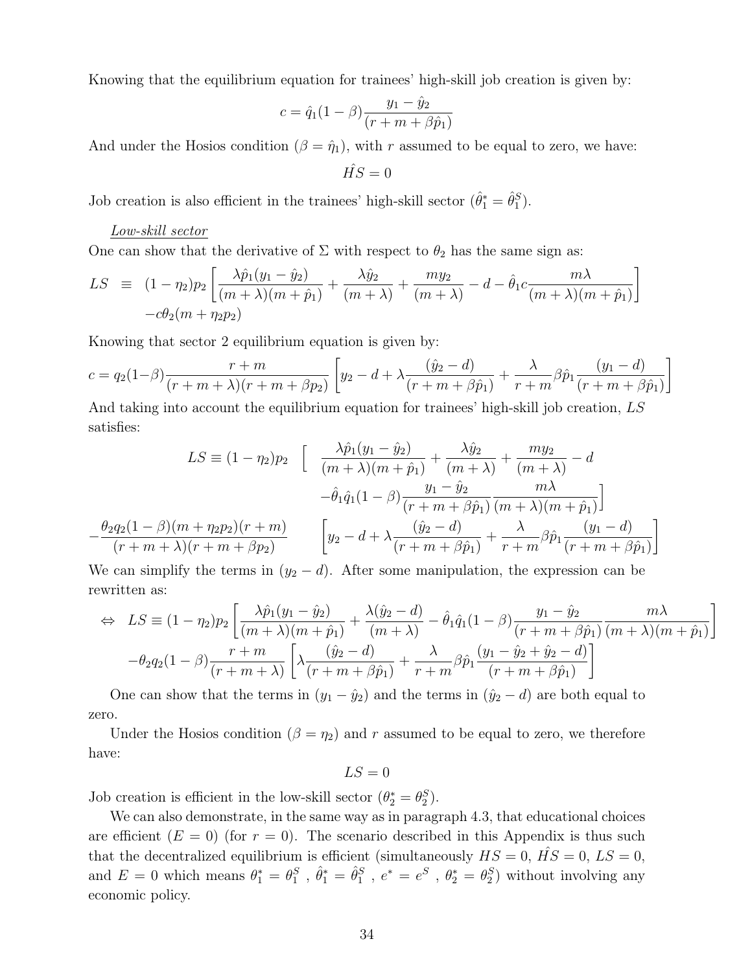Knowing that the equilibrium equation for trainees' high-skill job creation is given by:

$$
c = \hat{q}_1 (1 - \beta) \frac{y_1 - \hat{y}_2}{(r + m + \beta \hat{p}_1)}
$$

And under the Hosios condition  $(\beta = \hat{\eta}_1)$ , with r assumed to be equal to zero, we have:

$$
\hat{HS}=0
$$

Job creation is also efficient in the trainees' high-skill sector  $(\hat{\theta}_1^* = \hat{\theta}_1^S)$ .

#### Low-skill sector

One can show that the derivative of  $\Sigma$  with respect to  $\theta_2$  has the same sign as:

$$
LS \equiv (1 - \eta_2)p_2 \left[ \frac{\lambda \hat{p}_1(y_1 - \hat{y}_2)}{(m + \lambda)(m + \hat{p}_1)} + \frac{\lambda \hat{y}_2}{(m + \lambda)} + \frac{my_2}{(m + \lambda)} - d - \hat{\theta}_1 c \frac{m\lambda}{(m + \lambda)(m + \hat{p}_1)} \right] - c\theta_2(m + \eta_2 p_2)
$$

Knowing that sector 2 equilibrium equation is given by:

$$
c = q_2(1-\beta)\frac{r+m}{(r+m+\lambda)(r+m+\beta p_2)} \left[ y_2 - d + \lambda \frac{(\hat{y}_2 - d)}{(r+m+\beta \hat{p}_1)} + \frac{\lambda}{r+m} \beta \hat{p}_1 \frac{(y_1 - d)}{(r+m+\beta \hat{p}_1)} \right]
$$

And taking into account the equilibrium equation for trainees' high-skill job creation, LS satisfies:

$$
LS \equiv (1 - \eta_2)p_2 \quad \left[ \quad \frac{\lambda \hat{p}_1(y_1 - \hat{y}_2)}{(m + \lambda)(m + \hat{p}_1)} + \frac{\lambda \hat{y}_2}{(m + \lambda)} + \frac{my_2}{(m + \lambda)} - d \right]
$$

$$
- \hat{\theta}_1 \hat{q}_1 (1 - \beta) \frac{y_1 - \hat{y}_2}{(r + m + \beta \hat{p}_1)} \frac{m\lambda}{(m + \lambda)(m + \hat{p}_1)} \right]
$$

$$
- \frac{\theta_2 q_2 (1 - \beta)(m + \eta_2 p_2)(r + m)}{(r + m + \lambda)(r + m + \beta p_2)} \qquad \left[ y_2 - d + \lambda \frac{(\hat{y}_2 - d)}{(r + m + \beta \hat{p}_1)} + \frac{\lambda}{r + m} \beta \hat{p}_1 \frac{(y_1 - d)}{(r + m + \beta \hat{p}_1)} \right]
$$

We can simplify the terms in  $(y_2 - d)$ . After some manipulation, the expression can be rewritten as:

$$
\Leftrightarrow LS \equiv (1 - \eta_2)p_2 \left[ \frac{\lambda \hat{p}_1(y_1 - \hat{y}_2)}{(m + \lambda)(m + \hat{p}_1)} + \frac{\lambda(\hat{y}_2 - d)}{(m + \lambda)} - \hat{\theta}_1 \hat{q}_1 (1 - \beta) \frac{y_1 - \hat{y}_2}{(r + m + \beta \hat{p}_1)} \frac{m\lambda}{(m + \lambda)(m + \hat{p}_1)} \right]
$$

$$
-\theta_2 q_2 (1 - \beta) \frac{r + m}{(r + m + \lambda)} \left[ \lambda \frac{(\hat{y}_2 - d)}{(r + m + \beta \hat{p}_1)} + \frac{\lambda}{r + m} \beta \hat{p}_1 \frac{(y_1 - \hat{y}_2 + \hat{y}_2 - d)}{(r + m + \beta \hat{p}_1)} \right]
$$

One can show that the terms in  $(y_1 - \hat{y}_2)$  and the terms in  $(\hat{y}_2 - d)$  are both equal to zero.

Under the Hosios condition ( $\beta = \eta_2$ ) and r assumed to be equal to zero, we therefore have:

 $LS = 0$ 

Job creation is efficient in the low-skill sector  $(\theta_2^* = \theta_2^S)$ .

We can also demonstrate, in the same way as in paragraph 4.3, that educational choices are efficient  $(E = 0)$  (for  $r = 0$ ). The scenario described in this Appendix is thus such that the decentralized equilibrium is efficient (simultaneously  $HS = 0$ ,  $\hat{HS} = 0$ ,  $LS = 0$ , and  $E = 0$  which means  $\theta_1^* = \theta_1^S$ ,  $\hat{\theta}_1^* = \hat{\theta}_1^S$ ,  $e^* = e^S$ ,  $\theta_2^* = \theta_2^S$ ) without involving any economic policy.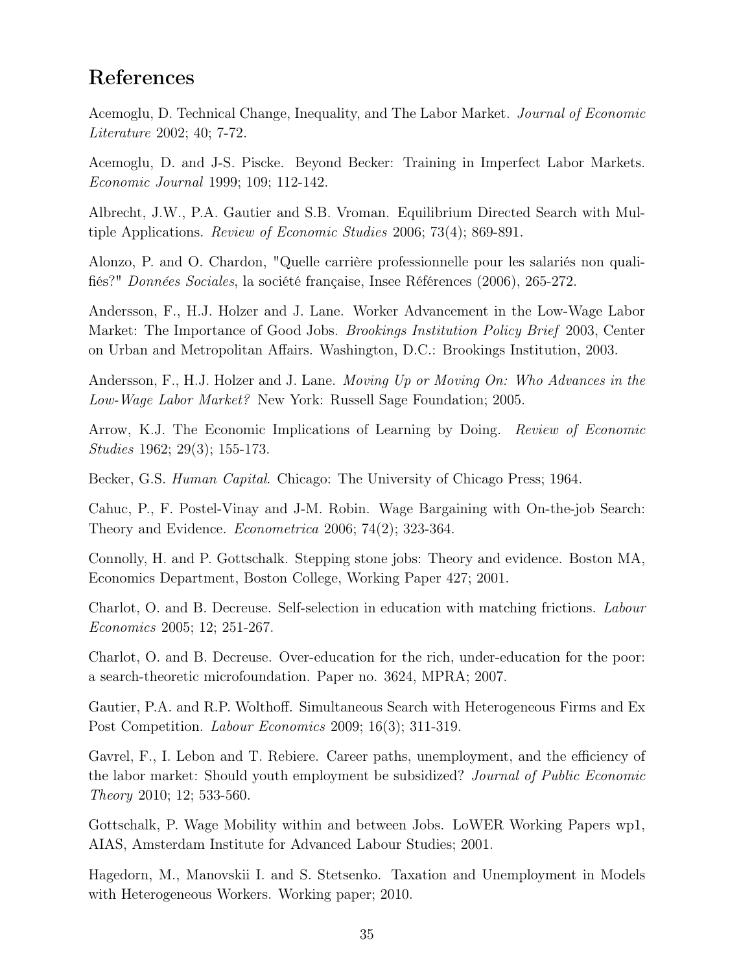### References

Acemoglu, D. Technical Change, Inequality, and The Labor Market. Journal of Economic Literature 2002; 40; 7-72.

Acemoglu, D. and J-S. Piscke. Beyond Becker: Training in Imperfect Labor Markets. Economic Journal 1999; 109; 112-142.

Albrecht, J.W., P.A. Gautier and S.B. Vroman. Equilibrium Directed Search with Multiple Applications. Review of Economic Studies 2006; 73(4); 869-891.

Alonzo, P. and O. Chardon, "Quelle carrière professionnelle pour les salariés non qualifiés?" Données Sociales, la société française, Insee Références (2006), 265-272.

Andersson, F., H.J. Holzer and J. Lane. Worker Advancement in the Low-Wage Labor Market: The Importance of Good Jobs. Brookings Institution Policy Brief 2003, Center on Urban and Metropolitan Affairs. Washington, D.C.: Brookings Institution, 2003.

Andersson, F., H.J. Holzer and J. Lane. Moving Up or Moving On: Who Advances in the Low-Wage Labor Market? New York: Russell Sage Foundation; 2005.

Arrow, K.J. The Economic Implications of Learning by Doing. Review of Economic Studies 1962; 29(3); 155-173.

Becker, G.S. Human Capital. Chicago: The University of Chicago Press; 1964.

Cahuc, P., F. Postel-Vinay and J-M. Robin. Wage Bargaining with On-the-job Search: Theory and Evidence. Econometrica 2006; 74(2); 323-364.

Connolly, H. and P. Gottschalk. Stepping stone jobs: Theory and evidence. Boston MA, Economics Department, Boston College, Working Paper 427; 2001.

Charlot, O. and B. Decreuse. Self-selection in education with matching frictions. Labour Economics 2005; 12; 251-267.

Charlot, O. and B. Decreuse. Over-education for the rich, under-education for the poor: a search-theoretic microfoundation. Paper no. 3624, MPRA; 2007.

Gautier, P.A. and R.P. Wolthoff. Simultaneous Search with Heterogeneous Firms and Ex Post Competition. *Labour Economics* 2009; 16(3); 311-319.

Gavrel, F., I. Lebon and T. Rebiere. Career paths, unemployment, and the efficiency of the labor market: Should youth employment be subsidized? Journal of Public Economic Theory 2010; 12; 533-560.

Gottschalk, P. Wage Mobility within and between Jobs. LoWER Working Papers wp1, AIAS, Amsterdam Institute for Advanced Labour Studies; 2001.

Hagedorn, M., Manovskii I. and S. Stetsenko. Taxation and Unemployment in Models with Heterogeneous Workers. Working paper; 2010.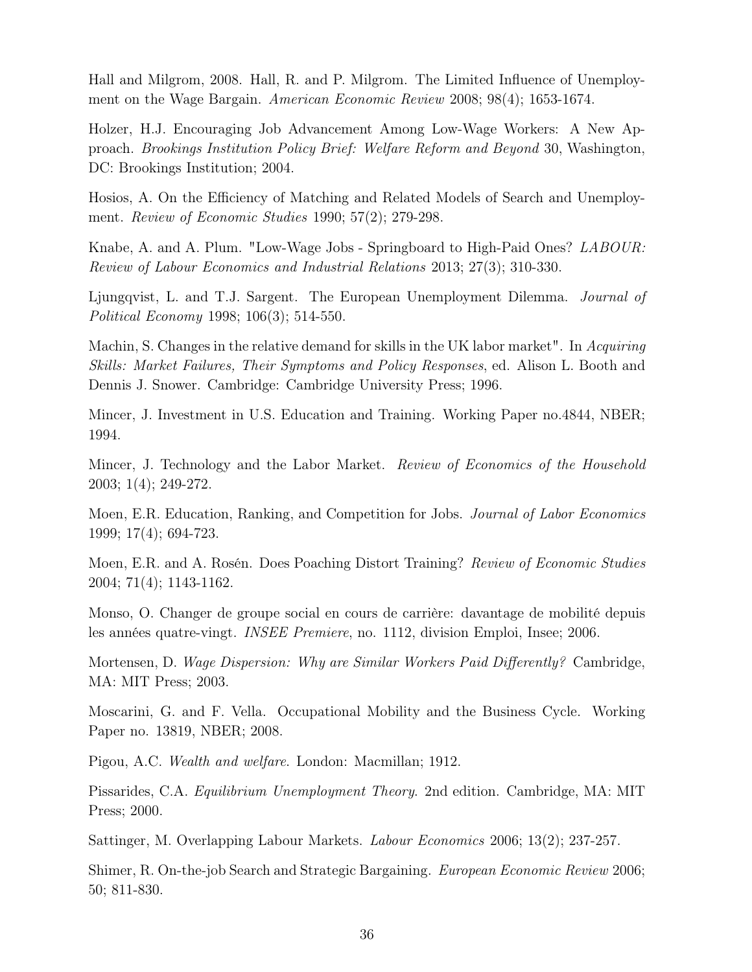Hall and Milgrom, 2008. Hall, R. and P. Milgrom. The Limited Influence of Unemployment on the Wage Bargain. American Economic Review 2008; 98(4); 1653-1674.

Holzer, H.J. Encouraging Job Advancement Among Low-Wage Workers: A New Approach. Brookings Institution Policy Brief: Welfare Reform and Beyond 30, Washington, DC: Brookings Institution; 2004.

Hosios, A. On the Efficiency of Matching and Related Models of Search and Unemployment. Review of Economic Studies 1990; 57(2); 279-298.

Knabe, A. and A. Plum. "Low-Wage Jobs - Springboard to High-Paid Ones? LABOUR: Review of Labour Economics and Industrial Relations 2013; 27(3); 310-330.

Ljungqvist, L. and T.J. Sargent. The European Unemployment Dilemma. Journal of Political Economy 1998; 106(3); 514-550.

Machin, S. Changes in the relative demand for skills in the UK labor market". In Acquiring Skills: Market Failures, Their Symptoms and Policy Responses, ed. Alison L. Booth and Dennis J. Snower. Cambridge: Cambridge University Press; 1996.

Mincer, J. Investment in U.S. Education and Training. Working Paper no.4844, NBER; 1994.

Mincer, J. Technology and the Labor Market. Review of Economics of the Household 2003; 1(4); 249-272.

Moen, E.R. Education, Ranking, and Competition for Jobs. *Journal of Labor Economics* 1999; 17(4); 694-723.

Moen, E.R. and A. Rosén. Does Poaching Distort Training? Review of Economic Studies 2004; 71(4); 1143-1162.

Monso, O. Changer de groupe social en cours de carrière: davantage de mobilité depuis les années quatre-vingt. INSEE Premiere, no. 1112, division Emploi, Insee; 2006.

Mortensen, D. Wage Dispersion: Why are Similar Workers Paid Differently? Cambridge, MA: MIT Press; 2003.

Moscarini, G. and F. Vella. Occupational Mobility and the Business Cycle. Working Paper no. 13819, NBER; 2008.

Pigou, A.C. Wealth and welfare. London: Macmillan; 1912.

Pissarides, C.A. Equilibrium Unemployment Theory. 2nd edition. Cambridge, MA: MIT Press; 2000.

Sattinger, M. Overlapping Labour Markets. Labour Economics 2006; 13(2); 237-257.

Shimer, R. On-the-job Search and Strategic Bargaining. European Economic Review 2006; 50; 811-830.